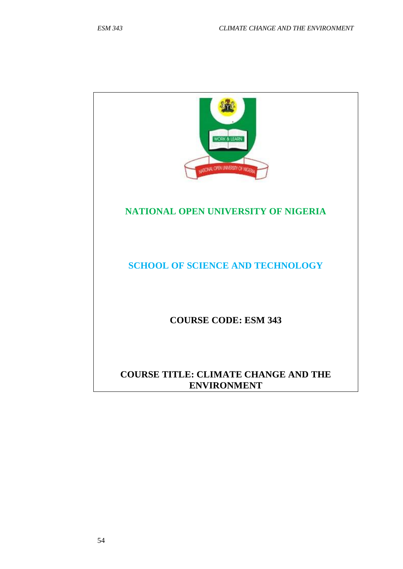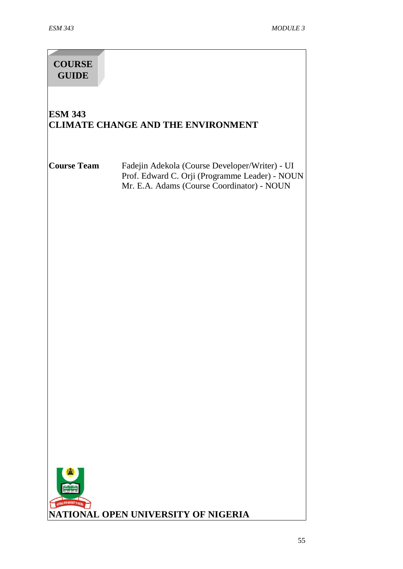# **COURSE GUIDE**

# **ESM 343 CLIMATE CHANGE AND THE ENVIRONMENT**

**Course Team** Fadejin Adekola (Course Developer/Writer) - UI Prof. Edward C. Orji (Programme Leader) - NOUN Mr. E.A. Adams (Course Coordinator) - NOUN

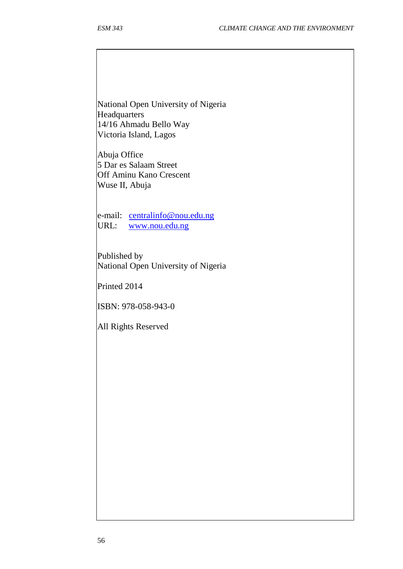National Open University of Nigeria **Headquarters** 14/16 Ahmadu Bello Way Victoria Island, Lagos

Abuja Office 5 Dar es Salaam Street Off Aminu Kano Crescent Wuse II, Abuja

e-mail: [centralinfo@nou.edu.ng](mailto:centralinfo@nou.edu.ng) URL: [www.nou.edu.ng](http://www.nou.edu.ng/)

Published by National Open University of Nigeria

Printed 2014

ISBN: 978-058-943-0

All Rights Reserved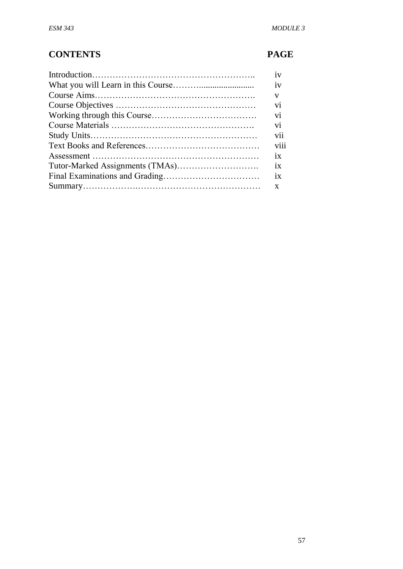# **CONTENTS PAGE**

| 1V              |
|-----------------|
| iv              |
| V               |
| vi              |
| vi              |
| vi              |
| vii             |
| V111            |
| $\overline{1}X$ |
| ix              |
| ix              |
|                 |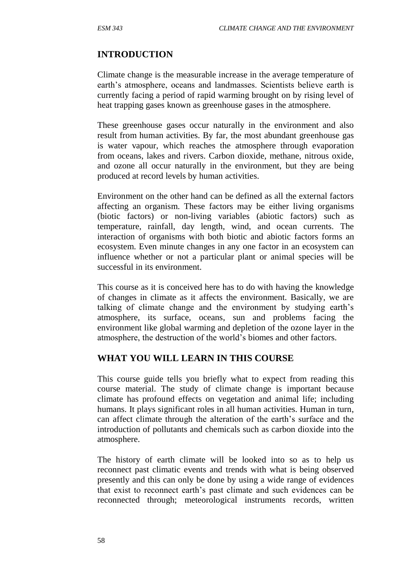## **INTRODUCTION**

Climate change is the measurable increase in the average temperature of earth's atmosphere, oceans and landmasses. Scientists believe earth is currently facing a period of rapid warming brought on by rising level of heat trapping gases known as greenhouse gases in the atmosphere.

These greenhouse gases occur naturally in the environment and also result from human activities. By far, the most abundant greenhouse gas is water vapour, which reaches the atmosphere through evaporation from oceans, lakes and rivers. Carbon dioxide, methane, nitrous oxide, and ozone all occur naturally in the environment, but they are being produced at record levels by human activities.

Environment on the other hand can be defined as all the external factors affecting an organism. These factors may be either living organisms (biotic factors) or non-living variables (abiotic factors) such as temperature, rainfall, day length, wind, and ocean currents. The interaction of organisms with both biotic and abiotic factors forms an ecosystem. Even minute changes in any one factor in an ecosystem can influence whether or not a particular plant or animal species will be successful in its environment.

This course as it is conceived here has to do with having the knowledge of changes in climate as it affects the environment. Basically, we are talking of climate change and the environment by studying earth's atmosphere, its surface, oceans, sun and problems facing the environment like global warming and depletion of the ozone layer in the atmosphere, the destruction of the world's biomes and other factors.

### **WHAT YOU WILL LEARN IN THIS COURSE**

This course guide tells you briefly what to expect from reading this course material. The study of climate change is important because climate has profound effects on vegetation and animal life; including humans. It plays significant roles in all human activities. Human in turn, can affect climate through the alteration of the earth's surface and the introduction of pollutants and chemicals such as carbon dioxide into the atmosphere.

The history of earth climate will be looked into so as to help us reconnect past climatic events and trends with what is being observed presently and this can only be done by using a wide range of evidences that exist to reconnect earth's past climate and such evidences can be reconnected through; meteorological instruments records, written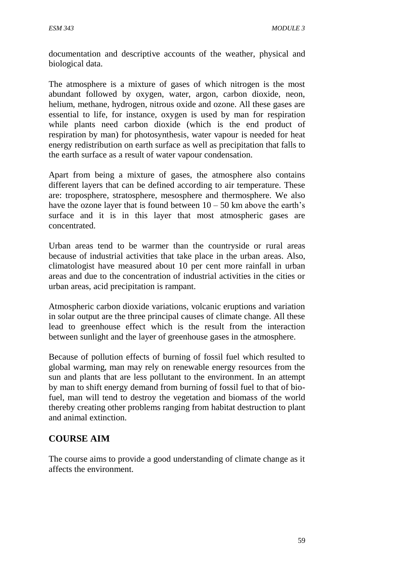documentation and descriptive accounts of the weather, physical and biological data.

The atmosphere is a mixture of gases of which nitrogen is the most abundant followed by oxygen, water, argon, carbon dioxide, neon, helium, methane, hydrogen, nitrous oxide and ozone. All these gases are essential to life, for instance, oxygen is used by man for respiration while plants need carbon dioxide (which is the end product of respiration by man) for photosynthesis, water vapour is needed for heat energy redistribution on earth surface as well as precipitation that falls to the earth surface as a result of water vapour condensation.

Apart from being a mixture of gases, the atmosphere also contains different layers that can be defined according to air temperature. These are: troposphere, stratosphere, mesosphere and thermosphere. We also have the ozone layer that is found between  $10 - 50$  km above the earth's surface and it is in this layer that most atmospheric gases are concentrated.

Urban areas tend to be warmer than the countryside or rural areas because of industrial activities that take place in the urban areas. Also, climatologist have measured about 10 per cent more rainfall in urban areas and due to the concentration of industrial activities in the cities or urban areas, acid precipitation is rampant.

Atmospheric carbon dioxide variations, volcanic eruptions and variation in solar output are the three principal causes of climate change. All these lead to greenhouse effect which is the result from the interaction between sunlight and the layer of greenhouse gases in the atmosphere.

Because of pollution effects of burning of fossil fuel which resulted to global warming, man may rely on renewable energy resources from the sun and plants that are less pollutant to the environment. In an attempt by man to shift energy demand from burning of fossil fuel to that of biofuel, man will tend to destroy the vegetation and biomass of the world thereby creating other problems ranging from habitat destruction to plant and animal extinction.

# **COURSE AIM**

The course aims to provide a good understanding of climate change as it affects the environment.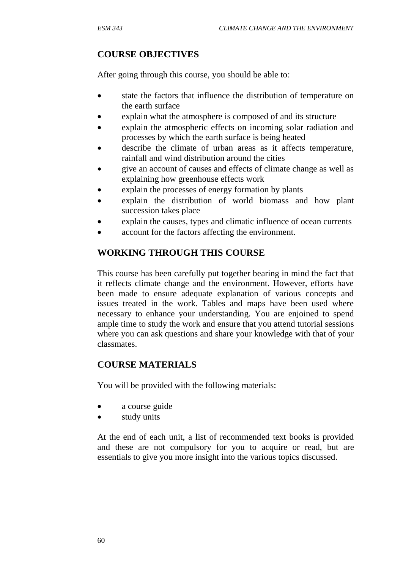# **COURSE OBJECTIVES**

After going through this course, you should be able to:

- state the factors that influence the distribution of temperature on the earth surface
- explain what the atmosphere is composed of and its structure
- explain the atmospheric effects on incoming solar radiation and processes by which the earth surface is being heated
- describe the climate of urban areas as it affects temperature, rainfall and wind distribution around the cities
- give an account of causes and effects of climate change as well as explaining how greenhouse effects work
- explain the processes of energy formation by plants
- explain the distribution of world biomass and how plant succession takes place
- explain the causes, types and climatic influence of ocean currents
- account for the factors affecting the environment.

# **WORKING THROUGH THIS COURSE**

This course has been carefully put together bearing in mind the fact that it reflects climate change and the environment. However, efforts have been made to ensure adequate explanation of various concepts and issues treated in the work. Tables and maps have been used where necessary to enhance your understanding. You are enjoined to spend ample time to study the work and ensure that you attend tutorial sessions where you can ask questions and share your knowledge with that of your classmates.

# **COURSE MATERIALS**

You will be provided with the following materials:

- a course guide
- study units

At the end of each unit, a list of recommended text books is provided and these are not compulsory for you to acquire or read, but are essentials to give you more insight into the various topics discussed.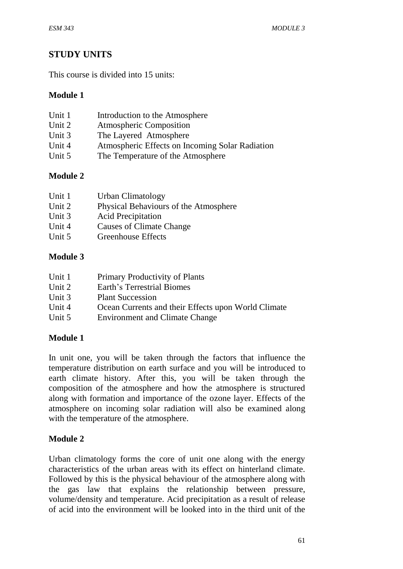# **STUDY UNITS**

This course is divided into 15 units:

# **Module 1**

| Unit 1 | Introduction to the Atmosphere |
|--------|--------------------------------|
| Unit 2 | <b>Atmospheric Composition</b> |

- Unit 3 The Layered Atmosphere
- Unit 4 Atmospheric Effects on Incoming Solar Radiation
- Unit 5 The Temperature of the Atmosphere

## **Module 2**

| Unit 1 | Urban Climatology                     |
|--------|---------------------------------------|
| Unit 2 | Physical Behaviours of the Atmosphere |
| Unit 3 | <b>Acid Precipitation</b>             |
| Unit 4 | Causes of Climate Change              |
| Unit 5 | Greenhouse Effects                    |

## **Module 3**

| Unit 1 | Primary Productivity of Plants                      |
|--------|-----------------------------------------------------|
| Unit 2 | Earth's Terrestrial Biomes                          |
| Unit 3 | <b>Plant Succession</b>                             |
| Unit 4 | Ocean Currents and their Effects upon World Climate |
| Unit 5 | <b>Environment and Climate Change</b>               |

# **Module 1**

In unit one, you will be taken through the factors that influence the temperature distribution on earth surface and you will be introduced to earth climate history. After this, you will be taken through the composition of the atmosphere and how the atmosphere is structured along with formation and importance of the ozone layer. Effects of the atmosphere on incoming solar radiation will also be examined along with the temperature of the atmosphere.

# **Module 2**

Urban climatology forms the core of unit one along with the energy characteristics of the urban areas with its effect on hinterland climate. Followed by this is the physical behaviour of the atmosphere along with the gas law that explains the relationship between pressure, volume/density and temperature. Acid precipitation as a result of release of acid into the environment will be looked into in the third unit of the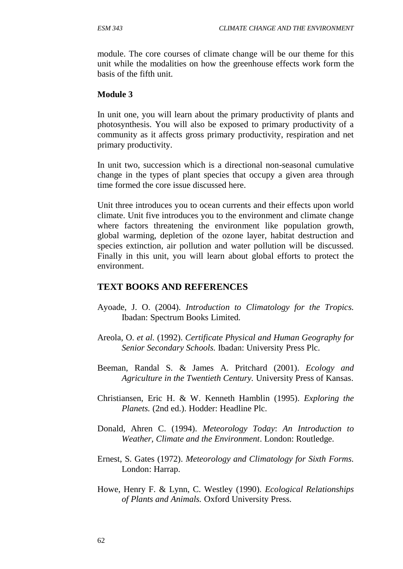module. The core courses of climate change will be our theme for this unit while the modalities on how the greenhouse effects work form the basis of the fifth unit.

#### **Module 3**

In unit one, you will learn about the primary productivity of plants and photosynthesis. You will also be exposed to primary productivity of a community as it affects gross primary productivity, respiration and net primary productivity.

In unit two, succession which is a directional non-seasonal cumulative change in the types of plant species that occupy a given area through time formed the core issue discussed here.

Unit three introduces you to ocean currents and their effects upon world climate. Unit five introduces you to the environment and climate change where factors threatening the environment like population growth, global warming, depletion of the ozone layer, habitat destruction and species extinction, air pollution and water pollution will be discussed. Finally in this unit, you will learn about global efforts to protect the environment.

#### **TEXT BOOKS AND REFERENCES**

- Ayoade, J. O. (2004). *Introduction to Climatology for the Tropics.*  Ibadan: Spectrum Books Limited*.*
- Areola, O. *et al.* (1992). *Certificate Physical and Human Geography for Senior Secondary Schools.* Ibadan: University Press Plc.
- Beeman, Randal S. & James A. Pritchard (2001). *Ecology and Agriculture in the Twentieth Century.* University Press of Kansas.
- Christiansen, Eric H. & W. Kenneth Hamblin (1995). *Exploring the Planets.* (2nd ed.). Hodder: Headline Plc.
- Donald, Ahren C. (1994). *Meteorology Today*: *An Introduction to Weather, Climate and the Environment*. London: Routledge.
- Ernest, S. Gates (1972). *Meteorology and Climatology for Sixth Forms.*  London: Harrap.
- Howe, Henry F. & Lynn, C. Westley (1990). *Ecological Relationships of Plants and Animals.* Oxford University Press.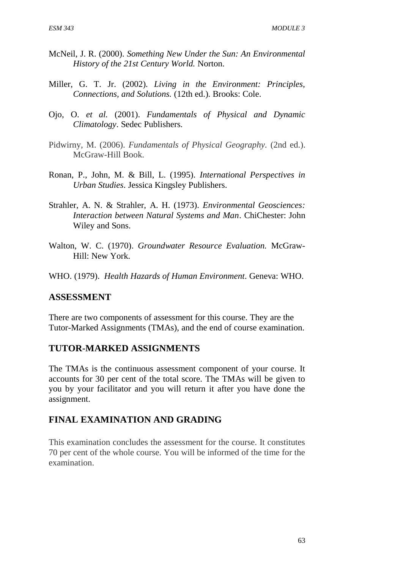- McNeil, J. R. (2000). *Something New Under the Sun: An Environmental History of the 21st Century World.* Norton.
- Miller, G. T. Jr. (2002). *Living in the Environment: Principles, Connections, and Solutions.* (12th ed.). Brooks: Cole.
- Ojo, O. *et al.* (2001). *Fundamentals of Physical and Dynamic Climatology*. Sedec Publishers.
- Pidwirny, M. (2006). *Fundamentals of Physical Geography.* (2nd ed.). McGraw-Hill Book.
- Ronan, P., John, M. & Bill, L. (1995). *International Perspectives in Urban Studies*. Jessica Kingsley Publishers.
- Strahler, A. N. & Strahler, A. H. (1973). *Environmental Geosciences: Interaction between Natural Systems and Man*. ChiChester: John Wiley and Sons.
- Walton, W. C. (1970). *Groundwater Resource Evaluation.* McGraw-Hill: New York.

WHO. (1979). *Health Hazards of Human Environment*. Geneva: WHO.

### **ASSESSMENT**

There are two components of assessment for this course. They are the Tutor-Marked Assignments (TMAs), and the end of course examination.

# **TUTOR-MARKED ASSIGNMENTS**

The TMAs is the continuous assessment component of your course. It accounts for 30 per cent of the total score. The TMAs will be given to you by your facilitator and you will return it after you have done the assignment.

# **FINAL EXAMINATION AND GRADING**

This examination concludes the assessment for the course. It constitutes 70 per cent of the whole course. You will be informed of the time for the examination.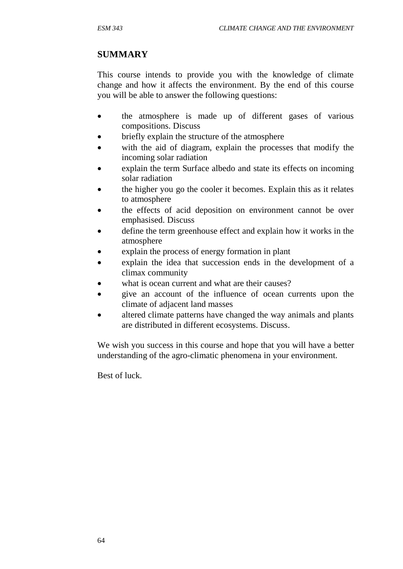# **SUMMARY**

This course intends to provide you with the knowledge of climate change and how it affects the environment. By the end of this course you will be able to answer the following questions:

- the atmosphere is made up of different gases of various compositions. Discuss
- briefly explain the structure of the atmosphere
- with the aid of diagram, explain the processes that modify the incoming solar radiation
- explain the term Surface albedo and state its effects on incoming solar radiation
- the higher you go the cooler it becomes. Explain this as it relates to atmosphere
- the effects of acid deposition on environment cannot be over emphasised. Discuss
- define the term greenhouse effect and explain how it works in the atmosphere
- explain the process of energy formation in plant
- explain the idea that succession ends in the development of a climax community
- what is ocean current and what are their causes?
- give an account of the influence of ocean currents upon the climate of adjacent land masses
- altered climate patterns have changed the way animals and plants are distributed in different ecosystems. Discuss.

We wish you success in this course and hope that you will have a better understanding of the agro-climatic phenomena in your environment.

Best of luck.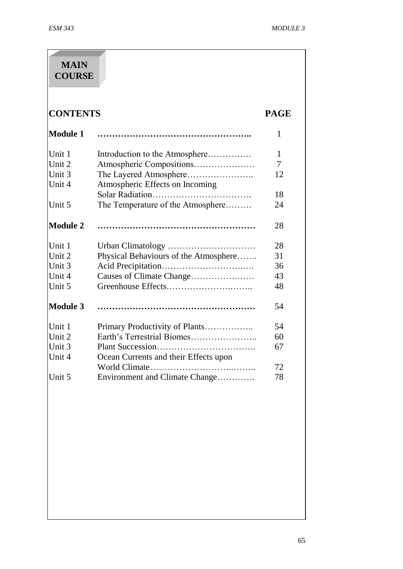# **MAIN COURSE**

# **CONTENTS PAGE**

| Module 1 |                                       | 1  |
|----------|---------------------------------------|----|
| Unit 1   | Introduction to the Atmosphere        | 1  |
| Unit 2   | Atmospheric Compositions              | 7  |
| Unit 3   | The Layered Atmosphere                | 12 |
| Unit 4   | Atmospheric Effects on Incoming       |    |
|          |                                       | 18 |
| Unit 5   | The Temperature of the Atmosphere     | 24 |
| Module 2 |                                       | 28 |
| Unit 1   |                                       | 28 |
| Unit 2   | Physical Behaviours of the Atmosphere | 31 |
| Unit 3   |                                       | 36 |
| Unit 4   | Causes of Climate Change              | 43 |
| Unit 5   | Greenhouse Effects                    | 48 |
| Module 3 |                                       | 54 |
| Unit 1   | Primary Productivity of Plants        | 54 |
| Unit 2   |                                       | 60 |
| Unit 3   |                                       | 67 |
| Unit 4   | Ocean Currents and their Effects upon |    |
|          |                                       | 72 |
| Unit 5   | Environment and Climate Change        | 78 |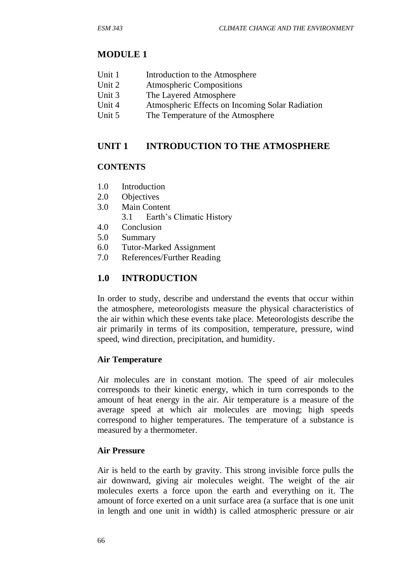# **MODULE 1**

- Unit 1 Introduction to the Atmosphere
- Unit 2 Atmospheric Compositions
- Unit 3 The Layered Atmosphere
- Unit 4 Atmospheric Effects on Incoming Solar Radiation
- Unit 5 The Temperature of the Atmosphere

# **UNIT 1 INTRODUCTION TO THE ATMOSPHERE**

### **CONTENTS**

- 1.0 Introduction
- 2.0 Objectives
- 3.0 Main Content
	- 3.1 Earth's Climatic History
- 4.0 Conclusion
- 5.0 Summary
- 6.0 Tutor-Marked Assignment
- 7.0 References/Further Reading

# **1.0 INTRODUCTION**

In order to study, describe and understand the events that occur within the atmosphere, meteorologists measure the physical characteristics of the air within which these events take place. Meteorologists describe the air primarily in terms of its composition, temperature, pressure, wind speed, wind direction, precipitation, and humidity.

### **Air Temperature**

Air molecules are in constant motion. The speed of air molecules corresponds to their kinetic energy, which in turn corresponds to the amount of heat energy in the air. Air temperature is a measure of the average speed at which air molecules are moving; high speeds correspond to higher temperatures. The temperature of a substance is measured by a thermometer.

### **Air Pressure**

Air is held to the earth by gravity. This strong invisible force pulls the air downward, giving air molecules weight. The weight of the air molecules exerts a force upon the earth and everything on it. The amount of force exerted on a unit surface area (a surface that is one unit in length and one unit in width) is called atmospheric pressure or air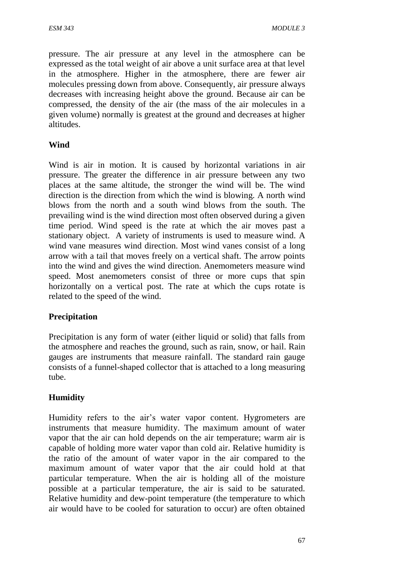pressure. The air pressure at any level in the atmosphere can be expressed as the total weight of air above a unit surface area at that level in the atmosphere. Higher in the atmosphere, there are fewer air molecules pressing down from above. Consequently, air pressure always decreases with increasing height above the ground. Because air can be compressed, the density of the air (the mass of the air molecules in a given volume) normally is greatest at the ground and decreases at higher altitudes.

## **Wind**

Wind is air in motion. It is caused by horizontal variations in air pressure. The greater the difference in air pressure between any two places at the same altitude, the stronger the wind will be. The wind direction is the direction from which the wind is blowing. A north wind blows from the north and a south wind blows from the south. The prevailing wind is the wind direction most often observed during a given time period. Wind speed is the rate at which the air moves past a stationary object. A variety of instruments is used to measure wind. A wind vane measures wind direction. Most wind vanes consist of a long arrow with a tail that moves freely on a vertical shaft. The arrow points into the wind and gives the wind direction. Anemometers measure wind speed. Most anemometers consist of three or more cups that spin horizontally on a vertical post. The rate at which the cups rotate is related to the speed of the wind.

### **Precipitation**

Precipitation is any form of water (either liquid or solid) that falls from the atmosphere and reaches the ground, such as rain, snow, or hail. Rain gauges are instruments that measure rainfall. The standard rain gauge consists of a funnel-shaped collector that is attached to a long measuring tube.

# **Humidity**

Humidity refers to the air's water vapor content. Hygrometers are instruments that measure humidity. The maximum amount of water vapor that the air can hold depends on the air temperature; warm air is capable of holding more water vapor than cold air. Relative humidity is the ratio of the amount of water vapor in the air compared to the maximum amount of water vapor that the air could hold at that particular temperature. When the air is holding all of the moisture possible at a particular temperature, the air is said to be saturated. Relative humidity and dew-point temperature (the temperature to which air would have to be cooled for saturation to occur) are often obtained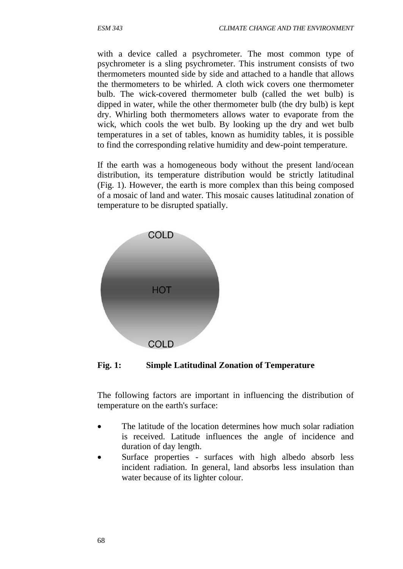with a device called a psychrometer. The most common type of psychrometer is a sling psychrometer. This instrument consists of two thermometers mounted side by side and attached to a handle that allows the thermometers to be whirled. A cloth wick covers one thermometer bulb. The wick-covered thermometer bulb (called the wet bulb) is dipped in water, while the other thermometer bulb (the dry bulb) is kept dry. Whirling both thermometers allows water to evaporate from the wick, which cools the wet bulb. By looking up the dry and wet bulb temperatures in a set of tables, known as humidity tables, it is possible to find the corresponding relative humidity and dew-point temperature.

If the earth was a homogeneous body without the present land/ocean distribution, its temperature distribution would be strictly latitudinal (Fig. 1). However, the earth is more complex than this being composed of a mosaic of land and water. This mosaic causes latitudinal zonation of temperature to be disrupted spatially.



# **Fig. 1: Simple Latitudinal Zonation of Temperature**

The following factors are important in influencing the distribution of temperature on the earth's surface:

- The latitude of the location determines how much solar radiation is received. Latitude influences the angle of incidence and duration of day length.
- Surface properties surfaces with high albedo absorb less incident radiation. In general, land absorbs less insulation than water because of its lighter colour.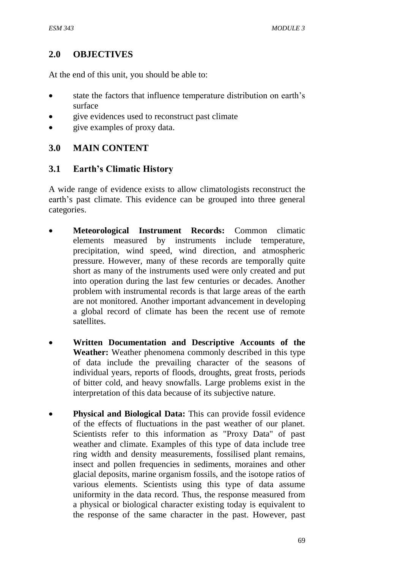# **2.0 OBJECTIVES**

At the end of this unit, you should be able to:

- state the factors that influence temperature distribution on earth's surface
- give evidences used to reconstruct past climate
- give examples of proxy data.

# **3.0 MAIN CONTENT**

# **3.1 Earth's Climatic History**

A wide range of evidence exists to allow climatologists reconstruct the earth's past climate. This evidence can be grouped into three general categories.

- **Meteorological Instrument Records:** Common climatic elements measured by instruments include temperature, precipitation, wind speed, wind direction, and atmospheric pressure. However, many of these records are temporally quite short as many of the instruments used were only created and put into operation during the last few centuries or decades. Another problem with instrumental records is that large areas of the earth are not monitored. Another important advancement in developing a global record of climate has been the recent use of remote satellites.
- **Written Documentation and Descriptive Accounts of the Weather:** Weather phenomena commonly described in this type of data include the prevailing character of the seasons of individual years, reports of floods, droughts, great frosts, periods of bitter cold, and heavy snowfalls. Large problems exist in the interpretation of this data because of its subjective nature.
- **Physical and Biological Data:** This can provide fossil evidence of the effects of fluctuations in the past weather of our planet. Scientists refer to this information as "Proxy Data" of past weather and climate. Examples of this type of data include tree ring width and density measurements, fossilised plant remains, insect and pollen frequencies in sediments, moraines and other glacial deposits, marine organism fossils, and the isotope ratios of various elements. Scientists using this type of data assume uniformity in the data record. Thus, the response measured from a physical or biological character existing today is equivalent to the response of the same character in the past. However, past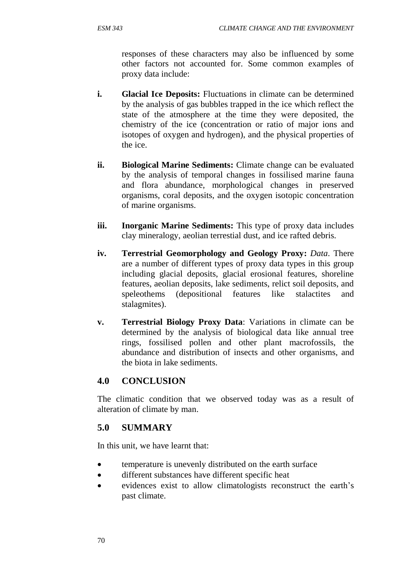responses of these characters may also be influenced by some other factors not accounted for. Some common examples of proxy data include:

- **i. Glacial Ice Deposits:** Fluctuations in climate can be determined by the analysis of gas bubbles trapped in the ice which reflect the state of the atmosphere at the time they were deposited, the chemistry of the ice (concentration or ratio of major ions and isotopes of oxygen and hydrogen), and the physical properties of the ice.
- **ii. Biological Marine Sediments:** Climate change can be evaluated by the analysis of temporal changes in fossilised marine fauna and flora abundance, morphological changes in preserved organisms, coral deposits, and the oxygen isotopic concentration of marine organisms.
- **iii. Inorganic Marine Sediments:** This type of proxy data includes clay mineralogy, aeolian terrestial dust, and ice rafted debris.
- **iv. Terrestrial Geomorphology and Geology Proxy:** *Data*. There are a number of different types of proxy data types in this group including glacial deposits, glacial erosional features, shoreline features, aeolian deposits, lake sediments, relict soil deposits, and speleothems (depositional features like stalactites and stalagmites).
- **v. Terrestrial Biology Proxy Data**: Variations in climate can be determined by the analysis of biological data like annual tree rings, fossilised pollen and other plant macrofossils, the abundance and distribution of insects and other organisms, and the biota in lake sediments.

# **4.0 CONCLUSION**

The climatic condition that we observed today was as a result of alteration of climate by man.

# **5.0 SUMMARY**

In this unit, we have learnt that:

- temperature is unevenly distributed on the earth surface
- different substances have different specific heat
- evidences exist to allow climatologists reconstruct the earth's past climate.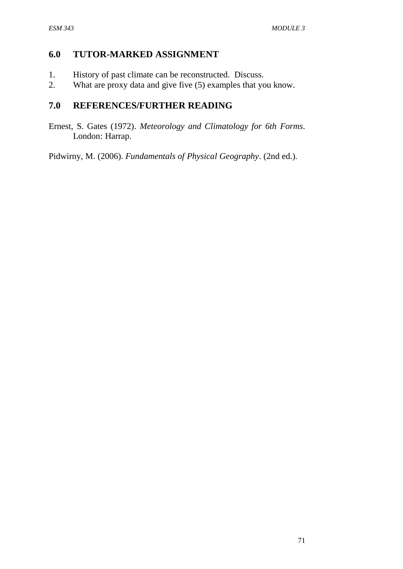## **6.0 TUTOR-MARKED ASSIGNMENT**

- 1. History of past climate can be reconstructed. Discuss.
- 2. What are proxy data and give five (5) examples that you know.

## **7.0 REFERENCES/FURTHER READING**

Ernest, S. Gates (1972). *Meteorology and Climatology for 6th Forms*. London: Harrap.

Pidwirny, M. (2006). *Fundamentals of Physical Geography*. (2nd ed.).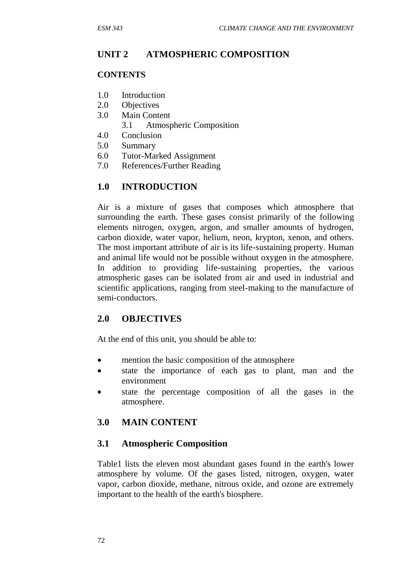# **UNIT 2 ATMOSPHERIC COMPOSITION**

## **CONTENTS**

- 1.0 Introduction
- 2.0 Objectives
- 3.0 Main Content
	- 3.1 Atmospheric Composition
- 4.0 Conclusion
- 5.0 Summary
- 6.0 Tutor-Marked Assignment
- 7.0 References/Further Reading

# **1.0 INTRODUCTION**

Air is a mixture of gases that composes which atmosphere that surrounding the earth. These gases consist primarily of the following elements nitrogen, oxygen, argon, and smaller amounts of hydrogen, carbon dioxide, water vapor, helium, neon, krypton, xenon, and others. The most important attribute of air is its life-sustaining property. Human and animal life would not be possible without oxygen in the atmosphere. In addition to providing life-sustaining properties, the various atmospheric gases can be isolated from air and used in industrial and scientific applications, ranging from steel-making to the manufacture of semi-conductors.

# **2.0 OBJECTIVES**

At the end of this unit, you should be able to:

- mention the basic composition of the atmosphere
- state the importance of each gas to plant, man and the environment
- state the percentage composition of all the gases in the atmosphere.

# **3.0 MAIN CONTENT**

### **3.1 Atmospheric Composition**

Table1 lists the eleven most abundant gases found in the earth's lower atmosphere by volume. Of the gases listed, nitrogen, oxygen, water vapor, carbon dioxide, methane, nitrous oxide, and ozone are extremely important to the health of the earth's biosphere.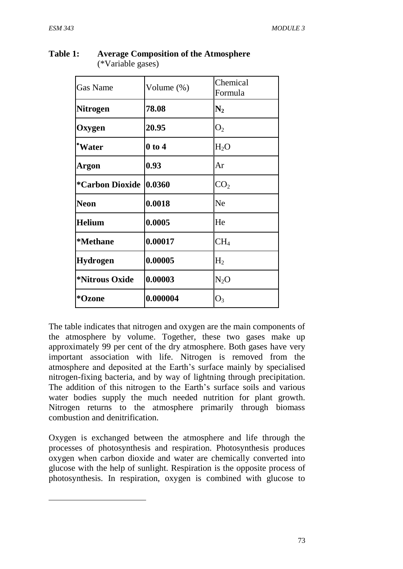<u>.</u>

| <b>Gas Name</b>               | Volume $(\%)$ | Chemical<br>Formula |
|-------------------------------|---------------|---------------------|
| <b>Nitrogen</b>               | 78.08         | $\mathbf{N}_2$      |
| Oxygen                        | 20.95         | O <sub>2</sub>      |
| *Water                        | $0$ to $4$    | H <sub>2</sub> O    |
| Argon                         | 0.93          | Ar                  |
| <i>*Carbon Dioxide</i> 0.0360 |               | CO <sub>2</sub>     |
| <b>Neon</b>                   | 0.0018        | Ne                  |
| <b>Helium</b>                 | 0.0005        | He                  |
| <i>*Methane</i>               | 0.00017       | CH <sub>4</sub>     |
| <b>Hydrogen</b>               | 0.00005       | $H_2$               |
| *Nitrous Oxide                | 0.00003       | $N_2O$              |
| *Ozone                        | 0.000004      | $O_3$               |

#### **Table 1: Average Composition of the Atmosphere** (\*Variable gases)

The table indicates that nitrogen and oxygen are the main components of the atmosphere by volume. Together, these two gases make up approximately 99 per cent of the dry atmosphere. Both gases have very important association with life. Nitrogen is removed from the atmosphere and deposited at the Earth's surface mainly by specialised nitrogen-fixing bacteria, and by way of lightning through precipitation. The addition of this nitrogen to the Earth's surface soils and various water bodies supply the much needed nutrition for plant growth. Nitrogen returns to the atmosphere primarily through biomass combustion and denitrification.

Oxygen is exchanged between the atmosphere and life through the processes of photosynthesis and respiration. Photosynthesis produces oxygen when carbon dioxide and water are chemically converted into glucose with the help of sunlight. Respiration is the opposite process of photosynthesis. In respiration, oxygen is combined with glucose to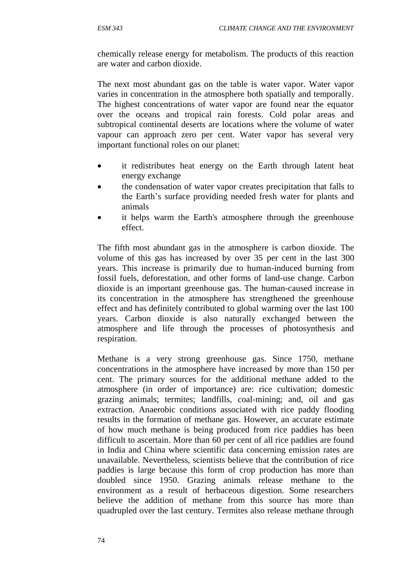chemically release energy for metabolism. The products of this reaction are water and carbon dioxide.

The next most abundant gas on the table is water vapor. Water vapor varies in concentration in the atmosphere both spatially and temporally. The highest concentrations of water vapor are found near the equator over the oceans and tropical rain forests. Cold polar areas and subtropical continental deserts are locations where the volume of water vapour can approach zero per cent. Water vapor has several very important functional roles on our planet:

- it redistributes heat energy on the Earth through latent heat energy exchange
- the condensation of water vapor creates precipitation that falls to the Earth's surface providing needed fresh water for plants and animals
- it helps warm the Earth's atmosphere through the greenhouse effect.

The fifth most abundant gas in the atmosphere is carbon dioxide. The volume of this gas has increased by over 35 per cent in the last 300 years. This increase is primarily due to human-induced burning from fossil fuels, deforestation, and other forms of land-use change. Carbon dioxide is an important greenhouse gas. The human-caused increase in its concentration in the atmosphere has strengthened the greenhouse effect and has definitely contributed to global warming over the last 100 years. Carbon dioxide is also naturally exchanged between the atmosphere and life through the processes of photosynthesis and respiration.

Methane is a very strong greenhouse gas. Since 1750, methane concentrations in the atmosphere have increased by more than 150 per cent. The primary sources for the additional methane added to the atmosphere (in order of importance) are: rice cultivation; domestic grazing animals; termites; landfills, coal-mining; and, oil and gas extraction. Anaerobic conditions associated with rice paddy flooding results in the formation of methane gas. However, an accurate estimate of how much methane is being produced from rice paddies has been difficult to ascertain. More than 60 per cent of all rice paddies are found in India and China where scientific data concerning emission rates are unavailable. Nevertheless, scientists believe that the contribution of rice paddies is large because this form of crop production has more than doubled since 1950. Grazing animals release methane to the environment as a result of herbaceous digestion. Some researchers believe the addition of methane from this source has more than quadrupled over the last century. Termites also release methane through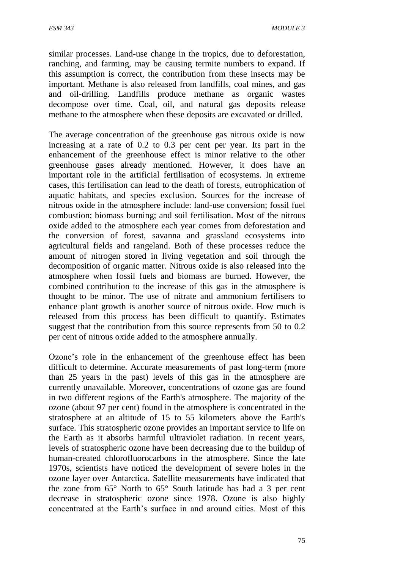similar processes. Land-use change in the tropics, due to deforestation, ranching, and farming, may be causing termite numbers to expand. If this assumption is correct, the contribution from these insects may be important. Methane is also released from landfills, coal mines, and gas and oil-drilling. Landfills produce methane as organic wastes decompose over time. Coal, oil, and natural gas deposits release methane to the atmosphere when these deposits are excavated or drilled.

The average concentration of the greenhouse gas nitrous oxide is now increasing at a rate of 0.2 to 0.3 per cent per year. Its part in the enhancement of the greenhouse effect is minor relative to the other greenhouse gases already mentioned. However, it does have an important role in the artificial fertilisation of ecosystems. In extreme cases, this fertilisation can lead to the death of forests, eutrophication of aquatic habitats, and species exclusion. Sources for the increase of nitrous oxide in the atmosphere include: land-use conversion; fossil fuel combustion; biomass burning; and soil fertilisation. Most of the nitrous oxide added to the atmosphere each year comes from deforestation and the conversion of forest, savanna and grassland ecosystems into agricultural fields and rangeland. Both of these processes reduce the amount of nitrogen stored in living vegetation and soil through the decomposition of organic matter. Nitrous oxide is also released into the atmosphere when fossil fuels and biomass are burned. However, the combined contribution to the increase of this gas in the atmosphere is thought to be minor. The use of nitrate and ammonium fertilisers to enhance plant growth is another source of nitrous oxide. How much is released from this process has been difficult to quantify. Estimates suggest that the contribution from this source represents from 50 to 0.2 per cent of nitrous oxide added to the atmosphere annually.

Ozone's role in the enhancement of the greenhouse effect has been difficult to determine. Accurate measurements of past long-term (more than 25 years in the past) levels of this gas in the atmosphere are currently unavailable. Moreover, concentrations of ozone gas are found in two different regions of the Earth's atmosphere. The majority of the ozone (about 97 per cent) found in the atmosphere is concentrated in the stratosphere at an altitude of 15 to 55 kilometers above the Earth's surface. This stratospheric ozone provides an important service to life on the Earth as it absorbs harmful ultraviolet radiation. In recent years, levels of stratospheric ozone have been decreasing due to the buildup of human-created chlorofluorocarbons in the atmosphere. Since the late 1970s, scientists have noticed the development of severe holes in the ozone layer over Antarctica. Satellite measurements have indicated that the zone from 65° North to 65° South latitude has had a 3 per cent decrease in stratospheric ozone since 1978. Ozone is also highly concentrated at the Earth's surface in and around cities. Most of this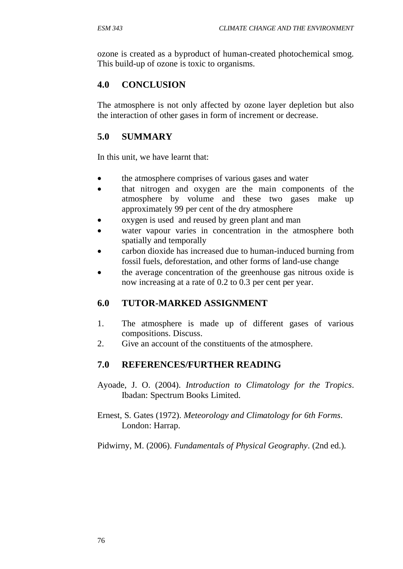ozone is created as a byproduct of human-created photochemical smog. This build-up of ozone is toxic to organisms.

# **4.0 CONCLUSION**

The atmosphere is not only affected by ozone layer depletion but also the interaction of other gases in form of increment or decrease.

# **5.0 SUMMARY**

In this unit, we have learnt that:

- the atmosphere comprises of various gases and water
- that nitrogen and oxygen are the main components of the atmosphere by volume and these two gases make up approximately 99 per cent of the dry atmosphere
- oxygen is used and reused by green plant and man
- water vapour varies in concentration in the atmosphere both spatially and temporally
- carbon dioxide has increased due to human-induced burning from fossil fuels, deforestation, and other forms of land-use change
- the average concentration of the greenhouse gas nitrous oxide is now increasing at a rate of 0.2 to 0.3 per cent per year.

# **6.0 TUTOR-MARKED ASSIGNMENT**

- 1. The atmosphere is made up of different gases of various compositions. Discuss.
- 2. Give an account of the constituents of the atmosphere.

# **7.0 REFERENCES/FURTHER READING**

Ayoade, J. O. (2004). *Introduction to Climatology for the Tropics*. Ibadan: Spectrum Books Limited.

Ernest, S. Gates (1972). *Meteorology and Climatology for 6th Forms*. London: Harrap.

Pidwirny, M. (2006). *Fundamentals of Physical Geography*. (2nd ed.).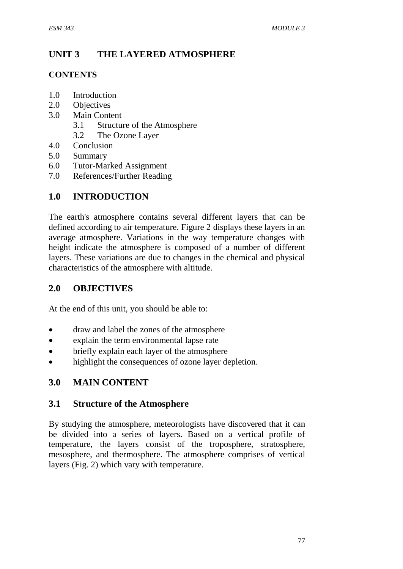# **UNIT 3 THE LAYERED ATMOSPHERE**

## **CONTENTS**

- 1.0 Introduction
- 2.0 Objectives
- 3.0 Main Content
	- 3.1 Structure of the Atmosphere
	- 3.2 The Ozone Layer
- 4.0 Conclusion
- 5.0 Summary
- 6.0 Tutor-Marked Assignment
- 7.0 References/Further Reading

# **1.0 INTRODUCTION**

The earth's atmosphere contains several different layers that can be defined according to air temperature. Figure 2 displays these layers in an average atmosphere. Variations in the way temperature changes with height indicate the atmosphere is composed of a number of different layers. These variations are due to changes in the chemical and physical characteristics of the atmosphere with altitude.

# **2.0 OBJECTIVES**

At the end of this unit, you should be able to:

- draw and label the zones of the atmosphere
- explain the term environmental lapse rate
- briefly explain each layer of the atmosphere
- highlight the consequences of ozone layer depletion.

# **3.0 MAIN CONTENT**

### **3.1 Structure of the Atmosphere**

By studying the atmosphere, meteorologists have discovered that it can be divided into a series of layers. Based on a vertical profile of temperature, the layers consist of the troposphere, stratosphere, mesosphere, and thermosphere. The atmosphere comprises of vertical layers (Fig. 2) which vary with temperature.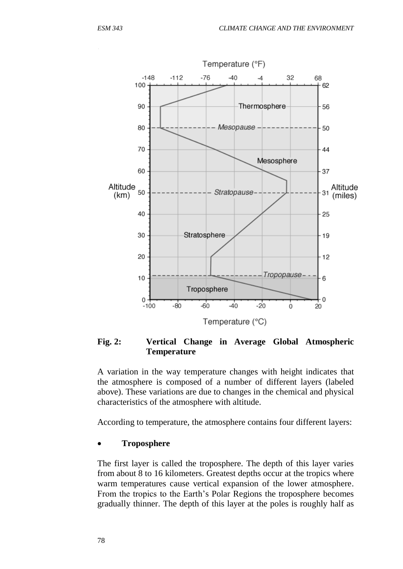

**Fig. 2: Vertical Change in Average Global Atmospheric Temperature**

A variation in the way temperature changes with height indicates that the atmosphere is composed of a number of different layers (labeled above). These variations are due to changes in the chemical and physical characteristics of the atmosphere with altitude.

According to temperature, the atmosphere contains four different layers:

#### **Troposphere**

The first layer is called the troposphere. The depth of this layer varies from about 8 to 16 kilometers. Greatest depths occur at the tropics where warm temperatures cause vertical expansion of the lower atmosphere. From the tropics to the Earth's Polar Regions the troposphere becomes gradually thinner. The depth of this layer at the poles is roughly half as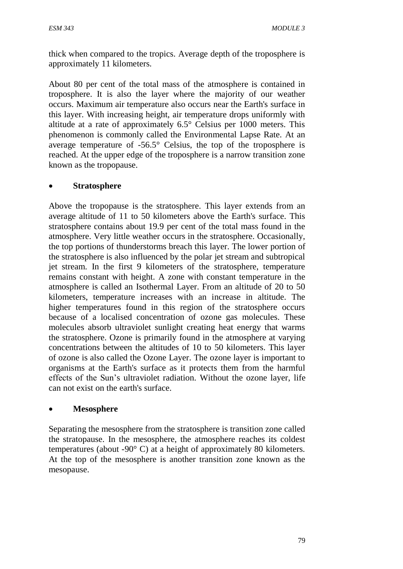thick when compared to the tropics. Average depth of the troposphere is approximately 11 kilometers.

About 80 per cent of the total mass of the atmosphere is contained in troposphere. It is also the layer where the majority of our weather occurs. Maximum air temperature also occurs near the Earth's surface in this layer. With increasing height, air temperature drops uniformly with altitude at a rate of approximately 6.5° Celsius per 1000 meters. This phenomenon is commonly called the Environmental Lapse Rate. At an average temperature of -56.5° Celsius, the top of the troposphere is reached. At the upper edge of the troposphere is a narrow transition zone known as the tropopause.

### **Stratosphere**

Above the tropopause is the stratosphere. This layer extends from an average altitude of 11 to 50 kilometers above the Earth's surface. This stratosphere contains about 19.9 per cent of the total mass found in the atmosphere. Very little weather occurs in the stratosphere. Occasionally, the top portions of thunderstorms breach this layer. The lower portion of the stratosphere is also influenced by the polar jet stream and subtropical jet stream. In the first 9 kilometers of the stratosphere, temperature remains constant with height. A zone with constant temperature in the atmosphere is called an Isothermal Layer. From an altitude of 20 to 50 kilometers, temperature increases with an increase in altitude. The higher temperatures found in this region of the stratosphere occurs because of a localised concentration of ozone gas molecules. These molecules absorb ultraviolet sunlight creating heat energy that warms the stratosphere. Ozone is primarily found in the atmosphere at varying concentrations between the altitudes of 10 to 50 kilometers. This layer of ozone is also called the Ozone Layer. The ozone layer is important to organisms at the Earth's surface as it protects them from the harmful effects of the Sun's ultraviolet radiation. Without the ozone layer, life can not exist on the earth's surface.

#### **Mesosphere**

Separating the mesosphere from the stratosphere is transition zone called the stratopause. In the mesosphere, the atmosphere reaches its coldest temperatures (about -90° C) at a height of approximately 80 kilometers. At the top of the mesosphere is another transition zone known as the mesopause.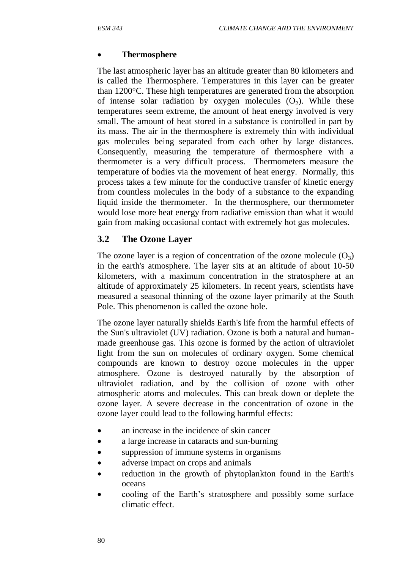## **Thermosphere**

The last atmospheric layer has an altitude greater than 80 kilometers and is called the Thermosphere. Temperatures in this layer can be greater than 1200°C. These high temperatures are generated from the absorption of intense solar radiation by oxygen molecules  $(O_2)$ . While these temperatures seem extreme, the amount of heat energy involved is very small. The amount of heat stored in a substance is controlled in part by its mass. The air in the thermosphere is extremely thin with individual gas molecules being separated from each other by large distances. Consequently, measuring the temperature of thermosphere with a thermometer is a very difficult process. Thermometers measure the temperature of bodies via the movement of heat energy. Normally, this process takes a few minute for the conductive transfer of kinetic energy from countless molecules in the body of a substance to the expanding liquid inside the thermometer. In the thermosphere, our thermometer would lose more heat energy from radiative emission than what it would gain from making occasional contact with extremely hot gas molecules.

# **3.2 The Ozone Layer**

The ozone layer is a region of concentration of the ozone molecule  $(O_3)$ in the earth's atmosphere. The layer sits at an altitude of about 10-50 kilometers, with a maximum concentration in the stratosphere at an altitude of approximately 25 kilometers. In recent years, scientists have measured a seasonal thinning of the ozone layer primarily at the South Pole. This phenomenon is called the ozone hole.

The ozone layer naturally shields Earth's life from the harmful effects of the Sun's ultraviolet (UV) radiation. Ozone is both a natural and humanmade greenhouse gas. This ozone is formed by the action of ultraviolet light from the sun on molecules of ordinary oxygen. Some chemical compounds are known to destroy ozone molecules in the upper atmosphere. Ozone is destroyed naturally by the absorption of ultraviolet radiation, and by the collision of ozone with other atmospheric atoms and molecules. This can break down or deplete the ozone layer. A severe decrease in the concentration of ozone in the ozone layer could lead to the following harmful effects:

- an increase in the incidence of skin cancer
- a large increase in cataracts and sun-burning
- suppression of immune systems in organisms
- adverse impact on crops and animals
- reduction in the growth of phytoplankton found in the Earth's oceans
- cooling of the Earth's stratosphere and possibly some surface climatic effect.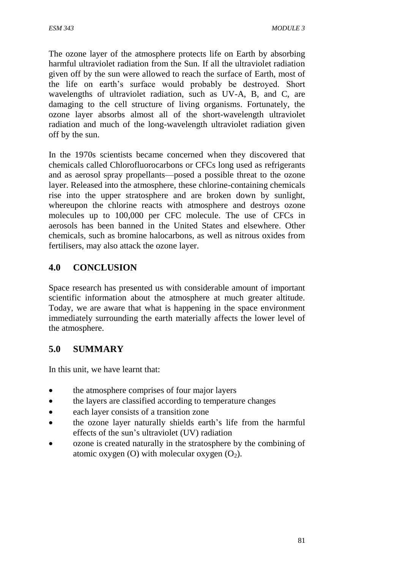The ozone layer of the atmosphere protects life on Earth by absorbing harmful ultraviolet radiation from the Sun. If all the ultraviolet radiation given off by the sun were allowed to reach the surface of Earth, most of the life on earth's surface would probably be destroyed. Short wavelengths of ultraviolet radiation, such as UV-A, B, and C, are damaging to the cell structure of living organisms. Fortunately, the ozone layer absorbs almost all of the short-wavelength ultraviolet radiation and much of the long-wavelength ultraviolet radiation given off by the sun.

In the 1970s scientists became concerned when they discovered that chemicals called Chlorofluorocarbons or CFCs long used as refrigerants and as aerosol spray propellants—posed a possible threat to the ozone layer. Released into the atmosphere, these chlorine-containing chemicals rise into the upper stratosphere and are broken down by sunlight, whereupon the chlorine reacts with atmosphere and destroys ozone molecules up to 100,000 per CFC molecule. The use of CFCs in aerosols has been banned in the United States and elsewhere. Other chemicals, such as bromine halocarbons, as well as nitrous oxides from fertilisers, may also attack the ozone layer.

# **4.0 CONCLUSION**

Space research has presented us with considerable amount of important scientific information about the atmosphere at much greater altitude. Today, we are aware that what is happening in the space environment immediately surrounding the earth materially affects the lower level of the atmosphere.

# **5.0 SUMMARY**

In this unit, we have learnt that:

- the atmosphere comprises of four major layers
- the layers are classified according to temperature changes
- each layer consists of a transition zone
- the ozone layer naturally shields earth's life from the harmful effects of the sun's ultraviolet (UV) radiation
- ozone is created naturally in the stratosphere by the combining of atomic oxygen  $(O)$  with molecular oxygen  $(O_2)$ .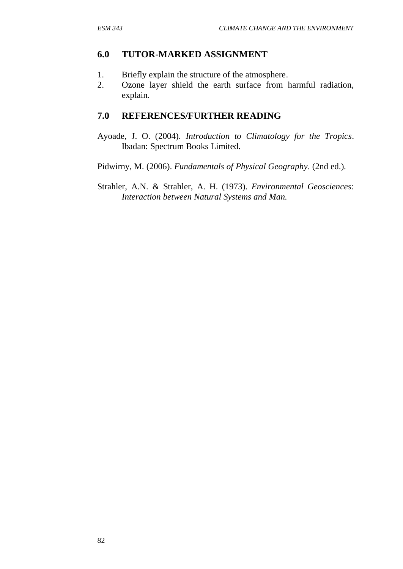# **6.0 TUTOR-MARKED ASSIGNMENT**

- 1. Briefly explain the structure of the atmosphere.
- 2. Ozone layer shield the earth surface from harmful radiation, explain.

## **7.0 REFERENCES/FURTHER READING**

- Ayoade, J. O. (2004). *Introduction to Climatology for the Tropics*. Ibadan: Spectrum Books Limited.
- Pidwirny, M. (2006). *Fundamentals of Physical Geography*. (2nd ed.).
- Strahler, A.N. & Strahler, A. H. (1973). *Environmental Geosciences*: *Interaction between Natural Systems and Man.*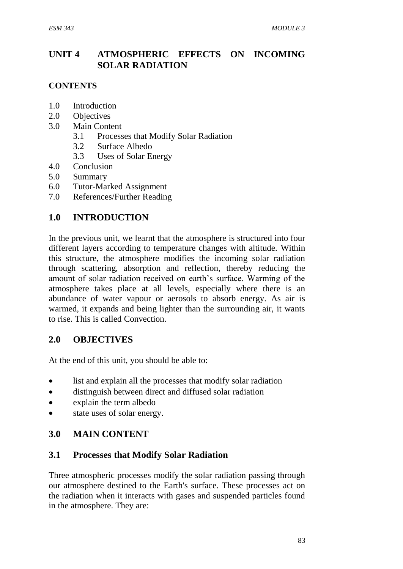# **UNIT 4 ATMOSPHERIC EFFECTS ON INCOMING SOLAR RADIATION**

## **CONTENTS**

- 1.0 Introduction
- 2.0 Objectives
- 3.0 Main Content
	- 3.1 Processes that Modify Solar Radiation
	- 3.2 Surface Albedo
	- 3.3 Uses of Solar Energy
- 4.0 Conclusion
- 5.0 Summary
- 6.0 Tutor-Marked Assignment
- 7.0 References/Further Reading

# **1.0 INTRODUCTION**

In the previous unit, we learnt that the atmosphere is structured into four different layers according to temperature changes with altitude. Within this structure, the atmosphere modifies the incoming solar radiation through scattering, absorption and reflection, thereby reducing the amount of solar radiation received on earth's surface. Warming of the atmosphere takes place at all levels, especially where there is an abundance of water vapour or aerosols to absorb energy. As air is warmed, it expands and being lighter than the surrounding air, it wants to rise. This is called Convection.

# **2.0 OBJECTIVES**

At the end of this unit, you should be able to:

- list and explain all the processes that modify solar radiation
- distinguish between direct and diffused solar radiation
- explain the term albedo
- state uses of solar energy.

# **3.0 MAIN CONTENT**

## **3.1 Processes that Modify Solar Radiation**

Three atmospheric processes modify the solar radiation passing through our atmosphere destined to the Earth's surface. These processes act on the radiation when it interacts with gases and suspended particles found in the atmosphere. They are: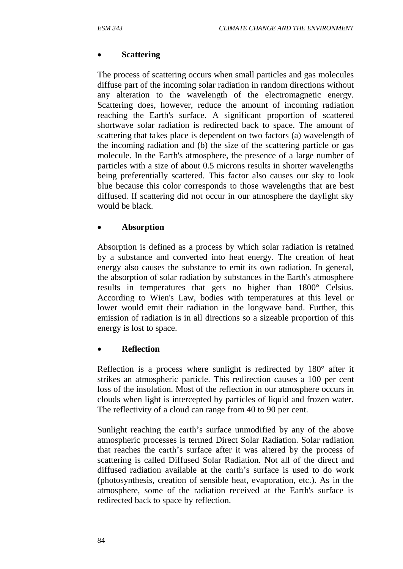# **Scattering**

The process of scattering occurs when small particles and gas molecules diffuse part of the incoming solar radiation in random directions without any alteration to the wavelength of the electromagnetic energy. Scattering does, however, reduce the amount of incoming radiation reaching the Earth's surface. A significant proportion of scattered shortwave solar radiation is redirected back to space. The amount of scattering that takes place is dependent on two factors (a) wavelength of the incoming radiation and (b) the size of the scattering particle or gas molecule. In the Earth's atmosphere, the presence of a large number of particles with a size of about 0.5 microns results in shorter wavelengths being preferentially scattered. This factor also causes our sky to look blue because this color corresponds to those wavelengths that are best diffused. If scattering did not occur in our atmosphere the daylight sky would be black.

## **Absorption**

Absorption is defined as a process by which solar radiation is retained by a substance and converted into heat energy. The creation of heat energy also causes the substance to emit its own radiation. In general, the absorption of solar radiation by substances in the Earth's atmosphere results in temperatures that gets no higher than 1800° Celsius. According to Wien's Law, bodies with temperatures at this level or lower would emit their radiation in the longwave band. Further, this emission of radiation is in all directions so a sizeable proportion of this energy is lost to space.

# **Reflection**

Reflection is a process where sunlight is redirected by 180° after it strikes an atmospheric particle. This redirection causes a 100 per cent loss of the insolation. Most of the reflection in our atmosphere occurs in clouds when light is intercepted by particles of liquid and frozen water. The reflectivity of a cloud can range from 40 to 90 per cent.

Sunlight reaching the earth's surface unmodified by any of the above atmospheric processes is termed Direct Solar Radiation. Solar radiation that reaches the earth's surface after it was altered by the process of scattering is called Diffused Solar Radiation. Not all of the direct and diffused radiation available at the earth's surface is used to do work (photosynthesis, creation of sensible heat, evaporation, etc.). As in the atmosphere, some of the radiation received at the Earth's surface is redirected back to space by reflection.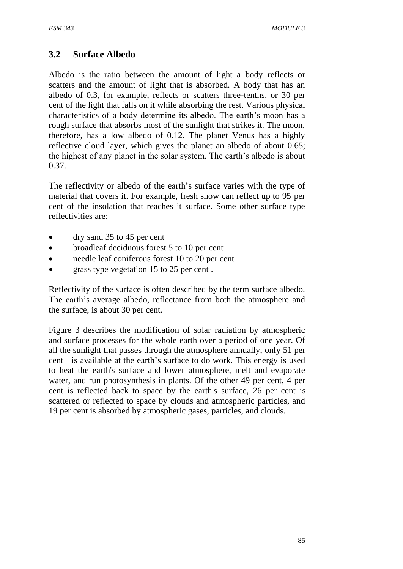# **3.2 Surface Albedo**

Albedo is the ratio between the amount of light a body reflects or scatters and the amount of light that is absorbed. A body that has an albedo of 0.3, for example, reflects or scatters three-tenths, or 30 per cent of the light that falls on it while absorbing the rest. Various physical characteristics of a body determine its albedo. The earth's moon has a rough surface that absorbs most of the sunlight that strikes it. The moon, therefore, has a low albedo of 0.12. The planet Venus has a highly reflective cloud layer, which gives the planet an albedo of about 0.65; the highest of any planet in the solar system. The earth's albedo is about 0.37.

The reflectivity or albedo of the earth's surface varies with the type of material that covers it. For example, fresh snow can reflect up to 95 per cent of the insolation that reaches it surface. Some other surface type reflectivities are:

- dry sand 35 to 45 per cent
- broadleaf deciduous forest 5 to 10 per cent
- needle leaf coniferous forest 10 to 20 per cent
- grass type vegetation 15 to 25 per cent .

Reflectivity of the surface is often described by the term surface albedo. The earth's average albedo, reflectance from both the atmosphere and the surface, is about 30 per cent.

Figure 3 describes the modification of solar radiation by atmospheric and surface processes for the whole earth over a period of one year. Of all the sunlight that passes through the atmosphere annually, only 51 per cent is available at the earth's surface to do work. This energy is used to heat the earth's surface and lower atmosphere, melt and evaporate water, and run photosynthesis in plants. Of the other 49 per cent, 4 per cent is reflected back to space by the earth's surface, 26 per cent is scattered or reflected to space by clouds and atmospheric particles, and 19 per cent is absorbed by atmospheric gases, particles, and clouds.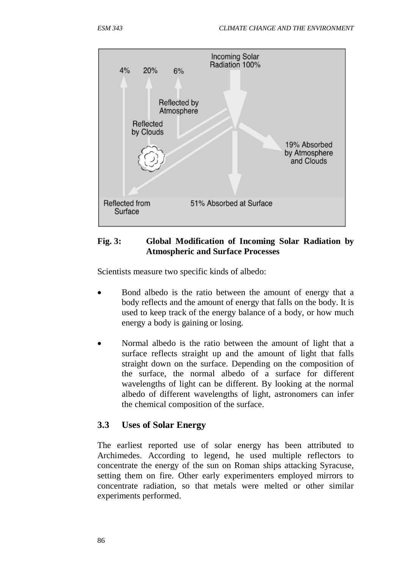

# **Fig. 3: Global Modification of Incoming Solar Radiation by Atmospheric and Surface Processes**

Scientists measure two specific kinds of albedo:

- Bond albedo is the ratio between the amount of energy that a body reflects and the amount of energy that falls on the body. It is used to keep track of the energy balance of a body, or how much energy a body is gaining or losing.
- Normal albedo is the ratio between the amount of light that a surface reflects straight up and the amount of light that falls straight down on the surface. Depending on the composition of the surface, the normal albedo of a surface for different wavelengths of light can be different. By looking at the normal albedo of different wavelengths of light, astronomers can infer the chemical composition of the surface.

# **3.3 Uses of Solar Energy**

The earliest reported use of solar energy has been attributed to Archimedes. According to legend, he used multiple reflectors to concentrate the energy of the sun on Roman ships attacking Syracuse, setting them on fire. Other early experimenters employed mirrors to concentrate radiation, so that metals were melted or other similar experiments performed.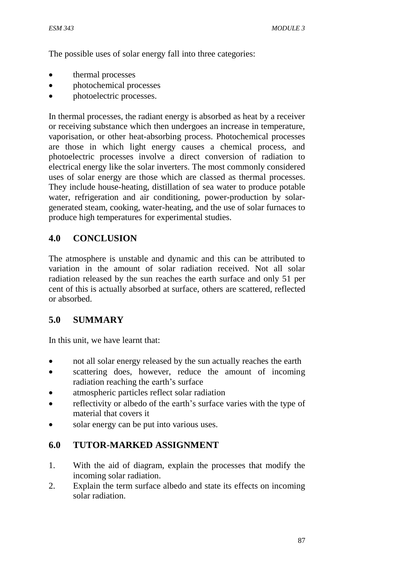The possible uses of solar energy fall into three categories:

- thermal processes
- **photochemical processes**
- **photoelectric processes.**

In thermal processes, the radiant energy is absorbed as heat by a receiver or receiving substance which then undergoes an increase in temperature, vaporisation, or other heat-absorbing process. Photochemical processes are those in which light energy causes a chemical process, and photoelectric processes involve a direct conversion of radiation to electrical energy like the solar inverters. The most commonly considered uses of solar energy are those which are classed as thermal processes. They include house-heating, distillation of sea water to produce potable water, refrigeration and air conditioning, power-production by solargenerated steam, cooking, water-heating, and the use of solar furnaces to produce high temperatures for experimental studies.

# **4.0 CONCLUSION**

The atmosphere is unstable and dynamic and this can be attributed to variation in the amount of solar radiation received. Not all solar radiation released by the sun reaches the earth surface and only 51 per cent of this is actually absorbed at surface, others are scattered, reflected or absorbed.

# **5.0 SUMMARY**

In this unit, we have learnt that:

- not all solar energy released by the sun actually reaches the earth
- scattering does, however, reduce the amount of incoming radiation reaching the earth's surface
- atmospheric particles reflect solar radiation
- reflectivity or albedo of the earth's surface varies with the type of material that covers it
- solar energy can be put into various uses.

# **6.0 TUTOR-MARKED ASSIGNMENT**

- 1. With the aid of diagram, explain the processes that modify the incoming solar radiation.
- 2. Explain the term surface albedo and state its effects on incoming solar radiation.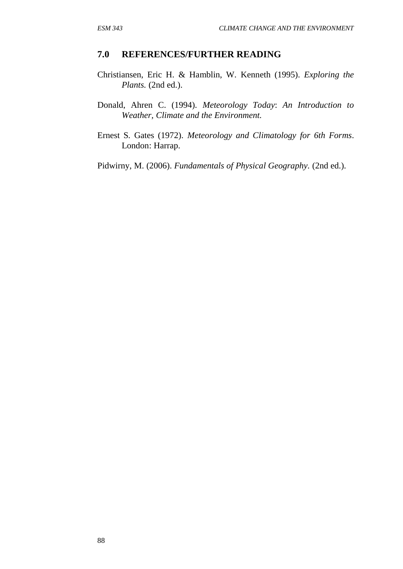# **7.0 REFERENCES/FURTHER READING**

- Christiansen, Eric H. & Hamblin, W. Kenneth (1995). *Exploring the Plants.* (2nd ed.).
- Donald, Ahren C. (1994). *Meteorology Today*: *An Introduction to Weather, Climate and the Environment.*
- Ernest S. Gates (1972). *Meteorology and Climatology for 6th Forms*. London: Harrap.

Pidwirny, M. (2006). *Fundamentals of Physical Geography.* (2nd ed.).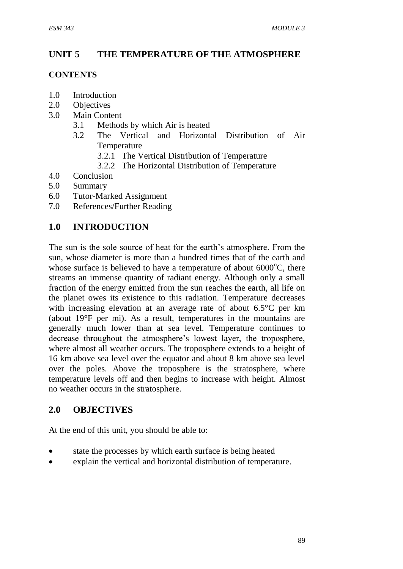# **UNIT 5 THE TEMPERATURE OF THE ATMOSPHERE**

## **CONTENTS**

- 1.0 Introduction
- 2.0 Objectives
- 3.0 Main Content
	- 3.1 Methods by which Air is heated
	- 3.2 The Vertical and Horizontal Distribution of Air Temperature
		- 3.2.1 The Vertical Distribution of Temperature
		- 3.2.2 The Horizontal Distribution of Temperature
- 4.0 Conclusion
- 5.0 Summary
- 6.0 Tutor-Marked Assignment
- 7.0 References/Further Reading

# **1.0 INTRODUCTION**

The sun is the sole source of heat for the earth's atmosphere. From the sun, whose diameter is more than a hundred times that of the earth and whose surface is believed to have a temperature of about  $6000^{\circ}$ C, there streams an immense quantity of radiant energy. Although only a small fraction of the energy emitted from the sun reaches the earth, all life on the planet owes its existence to this radiation. Temperature decreases with increasing elevation at an average rate of about 6.5°C per km (about 19°F per mi). As a result, temperatures in the mountains are generally much lower than at sea level. Temperature continues to decrease throughout the atmosphere's lowest layer, the troposphere, where almost all weather occurs. The troposphere extends to a height of 16 km above sea level over the equator and about 8 km above sea level over the poles. Above the troposphere is the stratosphere, where temperature levels off and then begins to increase with height. Almost no weather occurs in the stratosphere.

# **2.0 OBJECTIVES**

At the end of this unit, you should be able to:

- state the processes by which earth surface is being heated
- explain the vertical and horizontal distribution of temperature.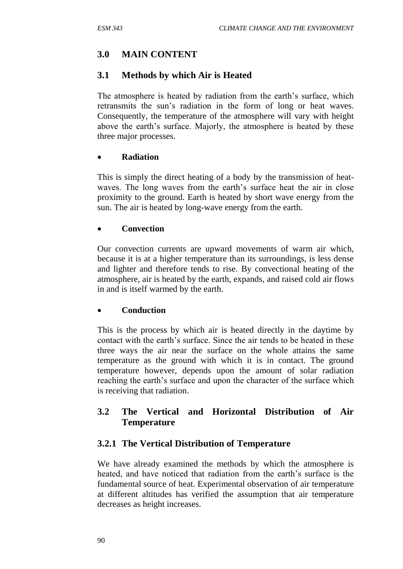# **3.0 MAIN CONTENT**

# **3.1 Methods by which Air is Heated**

The atmosphere is heated by radiation from the earth's surface, which retransmits the sun's radiation in the form of long or heat waves. Consequently, the temperature of the atmosphere will vary with height above the earth's surface. Majorly, the atmosphere is heated by these three major processes.

## **Radiation**

This is simply the direct heating of a body by the transmission of heatwaves. The long waves from the earth's surface heat the air in close proximity to the ground. Earth is heated by short wave energy from the sun. The air is heated by long-wave energy from the earth.

## **Convection**

Our convection currents are upward movements of warm air which, because it is at a higher temperature than its surroundings, is less dense and lighter and therefore tends to rise. By convectional heating of the atmosphere, air is heated by the earth, expands, and raised cold air flows in and is itself warmed by the earth.

# **Conduction**

This is the process by which air is heated directly in the daytime by contact with the earth's surface. Since the air tends to be heated in these three ways the air near the surface on the whole attains the same temperature as the ground with which it is in contact. The ground temperature however, depends upon the amount of solar radiation reaching the earth's surface and upon the character of the surface which is receiving that radiation.

# **3.2 The Vertical and Horizontal Distribution of Air Temperature**

# **3.2.1 The Vertical Distribution of Temperature**

We have already examined the methods by which the atmosphere is heated, and have noticed that radiation from the earth's surface is the fundamental source of heat. Experimental observation of air temperature at different altitudes has verified the assumption that air temperature decreases as height increases.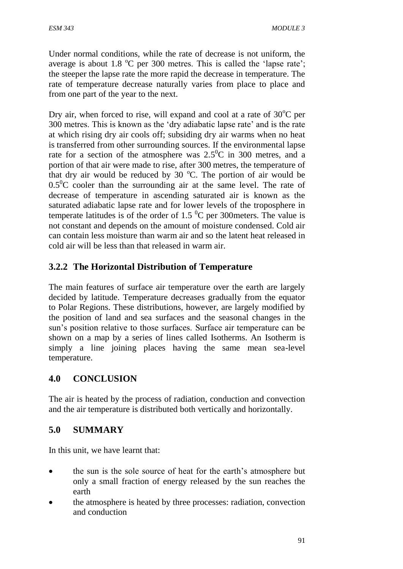Under normal conditions, while the rate of decrease is not uniform, the average is about 1.8  $^{\circ}$ C per 300 metres. This is called the 'lapse rate'; the steeper the lapse rate the more rapid the decrease in temperature. The rate of temperature decrease naturally varies from place to place and from one part of the year to the next.

Dry air, when forced to rise, will expand and cool at a rate of  $30^{\circ}$ C per 300 metres. This is known as the 'dry adiabatic lapse rate' and is the rate at which rising dry air cools off; subsiding dry air warms when no heat is transferred from other surrounding sources. If the environmental lapse rate for a section of the atmosphere was  $2.5^{\circ}$ C in 300 metres, and a portion of that air were made to rise, after 300 metres, the temperature of that dry air would be reduced by  $30^{\circ}$ C. The portion of air would be  $0.5^{\circ}$ C cooler than the surrounding air at the same level. The rate of decrease of temperature in ascending saturated air is known as the saturated adiabatic lapse rate and for lower levels of the troposphere in temperate latitudes is of the order of 1.5  $^{\circ}$ C per 300 meters. The value is not constant and depends on the amount of moisture condensed. Cold air can contain less moisture than warm air and so the latent heat released in cold air will be less than that released in warm air.

# **3.2.2 The Horizontal Distribution of Temperature**

The main features of surface air temperature over the earth are largely decided by latitude. Temperature decreases gradually from the equator to Polar Regions. These distributions, however, are largely modified by the position of land and sea surfaces and the seasonal changes in the sun's position relative to those surfaces. Surface air temperature can be shown on a map by a series of lines called Isotherms. An Isotherm is simply a line joining places having the same mean sea-level temperature.

# **4.0 CONCLUSION**

The air is heated by the process of radiation, conduction and convection and the air temperature is distributed both vertically and horizontally.

# **5.0 SUMMARY**

In this unit, we have learnt that:

- the sun is the sole source of heat for the earth's atmosphere but only a small fraction of energy released by the sun reaches the earth
- the atmosphere is heated by three processes: radiation, convection and conduction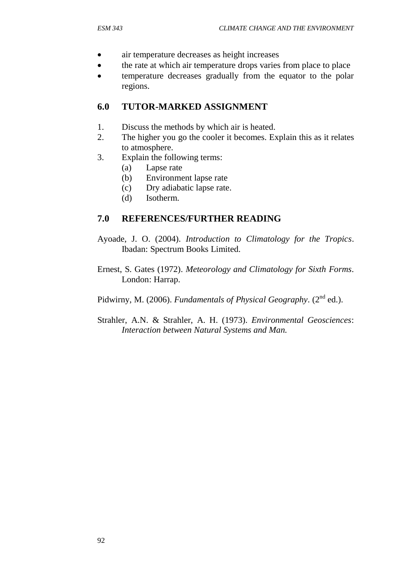- air temperature decreases as height increases
- the rate at which air temperature drops varies from place to place
- temperature decreases gradually from the equator to the polar regions.

# **6.0 TUTOR-MARKED ASSIGNMENT**

- 1. Discuss the methods by which air is heated.
- 2. The higher you go the cooler it becomes. Explain this as it relates to atmosphere.
- 3. Explain the following terms:
	- (a) Lapse rate
	- (b) Environment lapse rate
	- (c) Dry adiabatic lapse rate.
	- (d) Isotherm.

# **7.0 REFERENCES/FURTHER READING**

- Ayoade, J. O. (2004). *Introduction to Climatology for the Tropics*. Ibadan: Spectrum Books Limited.
- Ernest, S. Gates (1972). *Meteorology and Climatology for Sixth Forms*. London: Harrap.
- Pidwirny, M. (2006). *Fundamentals of Physical Geography*. (2<sup>nd</sup> ed.).
- Strahler, A.N. & Strahler, A. H. (1973). *Environmental Geosciences*: *Interaction between Natural Systems and Man.*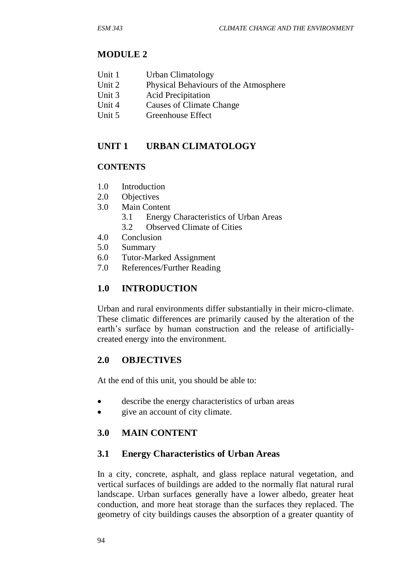# **MODULE 2**

| Unit 1 | Urban Climatology |
|--------|-------------------|
|--------|-------------------|

- Unit 2 Physical Behaviours of the Atmosphere
- Unit 3 Acid Precipitation
- Unit 4 Causes of Climate Change
- Unit 5 Greenhouse Effect

# **UNIT 1 URBAN CLIMATOLOGY**

#### **CONTENTS**

- 1.0 Introduction
- 2.0 Objectives
- 3.0 Main Content
	- 3.1 Energy Characteristics of Urban Areas
	- 3.2 Observed Climate of Cities
- 4.0 Conclusion
- 5.0 Summary
- 6.0 Tutor-Marked Assignment
- 7.0 References/Further Reading

# **1.0 INTRODUCTION**

Urban and rural environments differ substantially in their micro-climate. These climatic differences are primarily caused by the alteration of the earth's surface by human construction and the release of artificiallycreated energy into the environment.

# **2.0 OBJECTIVES**

At the end of this unit, you should be able to:

- describe the energy characteristics of urban areas
- give an account of city climate.

# **3.0 MAIN CONTENT**

#### **3.1 Energy Characteristics of Urban Areas**

In a city, concrete, asphalt, and glass replace natural vegetation, and vertical surfaces of buildings are added to the normally flat natural rural landscape. Urban surfaces generally have a lower albedo, greater heat conduction, and more heat storage than the surfaces they replaced. The geometry of city buildings causes the absorption of a greater quantity of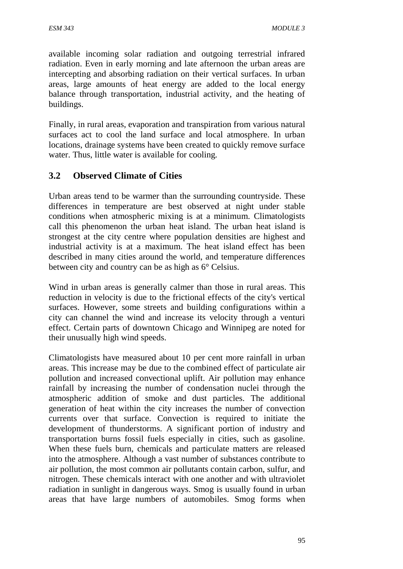available incoming solar radiation and outgoing terrestrial infrared radiation. Even in early morning and late afternoon the urban areas are intercepting and absorbing radiation on their vertical surfaces. In urban areas, large amounts of heat energy are added to the local energy balance through transportation, industrial activity, and the heating of buildings.

Finally, in rural areas, evaporation and transpiration from various natural surfaces act to cool the land surface and local atmosphere. In urban locations, drainage systems have been created to quickly remove surface water. Thus, little water is available for cooling.

# **3.2 Observed Climate of Cities**

Urban areas tend to be warmer than the surrounding countryside. These differences in temperature are best observed at night under stable conditions when atmospheric mixing is at a minimum. Climatologists call this phenomenon the urban heat island. The urban heat island is strongest at the city centre where population densities are highest and industrial activity is at a maximum. The heat island effect has been described in many cities around the world, and temperature differences between city and country can be as high as 6° Celsius.

Wind in urban areas is generally calmer than those in rural areas. This reduction in velocity is due to the frictional effects of the city's vertical surfaces. However, some streets and building configurations within a city can channel the wind and increase its velocity through a venturi effect. Certain parts of downtown Chicago and Winnipeg are noted for their unusually high wind speeds.

Climatologists have measured about 10 per cent more rainfall in urban areas. This increase may be due to the combined effect of particulate air pollution and increased convectional uplift. Air pollution may enhance rainfall by increasing the number of condensation nuclei through the atmospheric addition of smoke and dust particles. The additional generation of heat within the city increases the number of convection currents over that surface. Convection is required to initiate the development of thunderstorms. A significant portion of industry and transportation burns fossil fuels especially in cities, such as gasoline. When these fuels burn, chemicals and particulate matters are released into the atmosphere. Although a vast number of substances contribute to air pollution, the most common air pollutants contain carbon, sulfur, and nitrogen. These chemicals interact with one another and with ultraviolet radiation in sunlight in dangerous ways. Smog is usually found in urban areas that have large numbers of automobiles. Smog forms when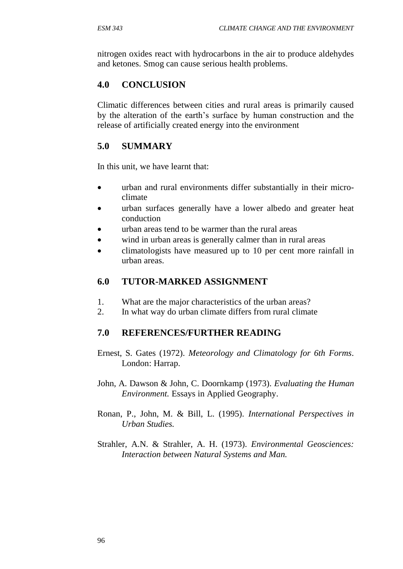nitrogen oxides react with hydrocarbons in the air to produce aldehydes and ketones. Smog can cause serious health problems.

# **4.0 CONCLUSION**

Climatic differences between cities and rural areas is primarily caused by the alteration of the earth's surface by human construction and the release of artificially created energy into the environment

# **5.0 SUMMARY**

In this unit, we have learnt that:

- urban and rural environments differ substantially in their microclimate
- urban surfaces generally have a lower albedo and greater heat conduction
- urban areas tend to be warmer than the rural areas
- wind in urban areas is generally calmer than in rural areas
- climatologists have measured up to 10 per cent more rainfall in urban areas.

# **6.0 TUTOR-MARKED ASSIGNMENT**

- 1. What are the major characteristics of the urban areas?
- 2. In what way do urban climate differs from rural climate

# **7.0 REFERENCES/FURTHER READING**

- Ernest, S. Gates (1972). *Meteorology and Climatology for 6th Forms*. London: Harrap.
- John, A. Dawson & John, C. Doornkamp (1973). *Evaluating the Human Environment.* Essays in Applied Geography.
- Ronan, P., John, M. & Bill, L. (1995). *International Perspectives in Urban Studies.*
- Strahler, A.N. & Strahler, A. H. (1973). *Environmental Geosciences: Interaction between Natural Systems and Man.*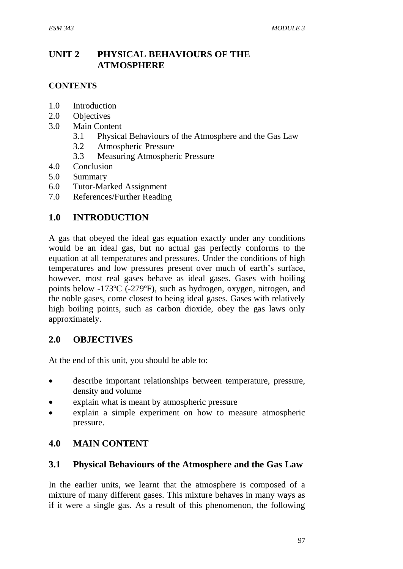# **UNIT 2 PHYSICAL BEHAVIOURS OF THE ATMOSPHERE**

#### **CONTENTS**

- 1.0 Introduction
- 2.0 Objectives
- 3.0 Main Content
	- 3.1 Physical Behaviours of the Atmosphere and the Gas Law
	- 3.2 Atmospheric Pressure
	- 3.3 Measuring Atmospheric Pressure
- 4.0 Conclusion
- 5.0 Summary
- 6.0 Tutor-Marked Assignment
- 7.0 References/Further Reading

# **1.0 INTRODUCTION**

A gas that obeyed the ideal gas equation exactly under any conditions would be an ideal gas, but no actual gas perfectly conforms to the equation at all temperatures and pressures. Under the conditions of high temperatures and low pressures present over much of earth's surface, however, most real gases behave as ideal gases. Gases with boiling points below -173ºC (-279ºF), such as hydrogen, oxygen, nitrogen, and the noble gases, come closest to being ideal gases. Gases with relatively high boiling points, such as carbon dioxide, obey the gas laws only approximately.

# **2.0 OBJECTIVES**

At the end of this unit, you should be able to:

- describe important relationships between temperature, pressure, density and volume
- explain what is meant by atmospheric pressure
- explain a simple experiment on how to measure atmospheric pressure.

# **4.0 MAIN CONTENT**

#### **3.1 Physical Behaviours of the Atmosphere and the Gas Law**

In the earlier units, we learnt that the atmosphere is composed of a mixture of many different gases. This mixture behaves in many ways as if it were a single gas. As a result of this phenomenon, the following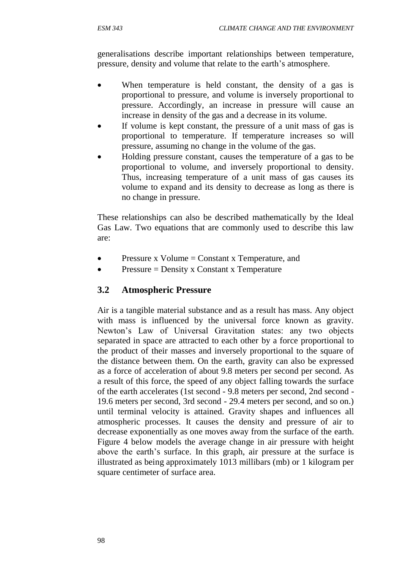generalisations describe important relationships between temperature, pressure, density and volume that relate to the earth's atmosphere.

- When temperature is held constant, the density of a gas is proportional to pressure, and volume is inversely proportional to pressure. Accordingly, an increase in pressure will cause an increase in density of the gas and a decrease in its volume.
- If volume is kept constant, the pressure of a unit mass of gas is proportional to temperature. If temperature increases so will pressure, assuming no change in the volume of the gas.
- Holding pressure constant, causes the temperature of a gas to be proportional to volume, and inversely proportional to density. Thus, increasing temperature of a unit mass of gas causes its volume to expand and its density to decrease as long as there is no change in pressure.

These relationships can also be described mathematically by the Ideal Gas Law. Two equations that are commonly used to describe this law are:

- Pressure x Volume = Constant x Temperature, and
- $\bullet$  Pressure = Density x Constant x Temperature

# **3.2 Atmospheric Pressure**

Air is a tangible material substance and as a result has mass. Any object with mass is influenced by the universal force known as gravity. Newton's Law of Universal Gravitation states: any two objects separated in space are attracted to each other by a force proportional to the product of their masses and inversely proportional to the square of the distance between them. On the earth, gravity can also be expressed as a force of acceleration of about 9.8 meters per second per second. As a result of this force, the speed of any object falling towards the surface of the earth accelerates (1st second - 9.8 meters per second, 2nd second - 19.6 meters per second, 3rd second - 29.4 meters per second, and so on.) until terminal velocity is attained. Gravity shapes and influences all atmospheric processes. It causes the density and pressure of air to decrease exponentially as one moves away from the surface of the earth. Figure 4 below models the average change in air pressure with height above the earth's surface. In this graph, air pressure at the surface is illustrated as being approximately 1013 millibars (mb) or 1 kilogram per square centimeter of surface area.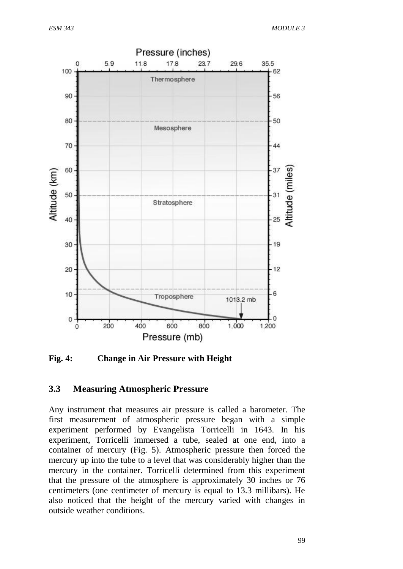

**Fig. 4: Change in Air Pressure with Height**

#### **3.3 Measuring Atmospheric Pressure**

Any instrument that measures air pressure is called a barometer. The first measurement of atmospheric pressure began with a simple experiment performed by Evangelista Torricelli in 1643. In his experiment, Torricelli immersed a tube, sealed at one end, into a container of mercury (Fig. 5). Atmospheric pressure then forced the mercury up into the tube to a level that was considerably higher than the mercury in the container. Torricelli determined from this experiment that the pressure of the atmosphere is approximately 30 inches or 76 centimeters (one centimeter of mercury is equal to 13.3 millibars). He also noticed that the height of the mercury varied with changes in outside weather conditions.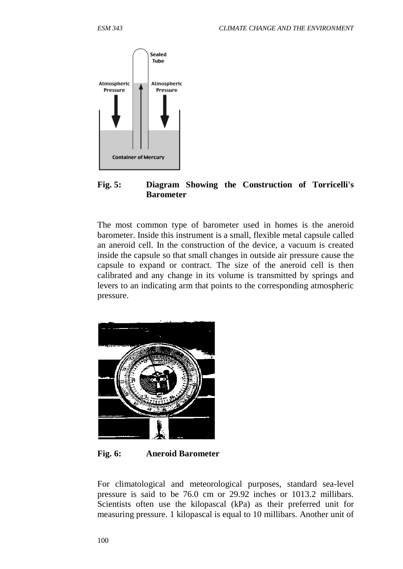

#### **Fig. 5: Diagram Showing the Construction of Torricelli's Barometer**

The most common type of barometer used in homes is the aneroid barometer. Inside this instrument is a small, flexible metal capsule called an aneroid cell. In the construction of the device, a vacuum is created inside the capsule so that small changes in outside air pressure cause the capsule to expand or contract. The size of the aneroid cell is then calibrated and any change in its volume is transmitted by springs and levers to an indicating arm that points to the corresponding atmospheric pressure.



**Fig. 6: Aneroid Barometer**

For climatological and meteorological purposes, standard sea-level pressure is said to be 76.0 cm or 29.92 inches or 1013.2 millibars. Scientists often use the kilopascal (kPa) as their preferred unit for measuring pressure. 1 kilopascal is equal to 10 millibars. Another unit of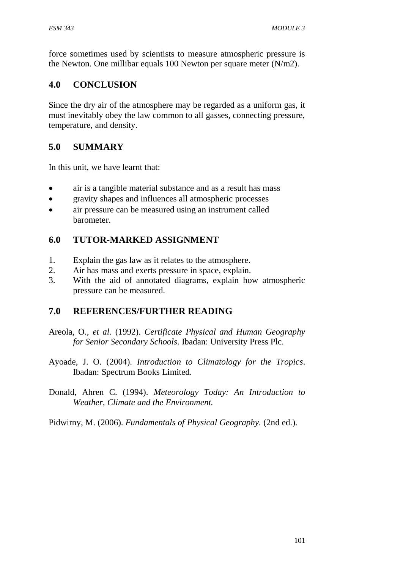force sometimes used by scientists to measure atmospheric pressure is the Newton. One millibar equals 100 Newton per square meter (N/m2).

# **4.0 CONCLUSION**

Since the dry air of the atmosphere may be regarded as a uniform gas, it must inevitably obey the law common to all gasses, connecting pressure, temperature, and density.

# **5.0 SUMMARY**

In this unit, we have learnt that:

- air is a tangible material substance and as a result has mass
- gravity shapes and influences all atmospheric processes
- air pressure can be measured using an instrument called barometer.

# **6.0 TUTOR-MARKED ASSIGNMENT**

- 1. Explain the gas law as it relates to the atmosphere.
- 2. Air has mass and exerts pressure in space, explain.
- 3. With the aid of annotated diagrams, explain how atmospheric pressure can be measured.

# **7.0 REFERENCES/FURTHER READING**

- Areola, O., *et al.* (1992). *Certificate Physical and Human Geography for Senior Secondary Schools*. Ibadan: University Press Plc.
- Ayoade, J. O. (2004). *Introduction to Climatology for the Tropics*. Ibadan: Spectrum Books Limited.
- Donald, Ahren C. (1994). *Meteorology Today: An Introduction to Weather, Climate and the Environment.*

Pidwirny, M. (2006). *Fundamentals of Physical Geography.* (2nd ed.).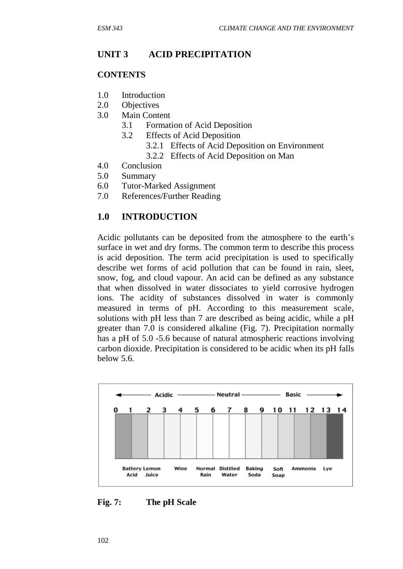# **UNIT 3 ACID PRECIPITATION**

#### **CONTENTS**

- 1.0 Introduction
- 2.0 Objectives
- 3.0 Main Content
	- 3.1 Formation of Acid Deposition
	- 3.2 Effects of Acid Deposition
		- 3.2.1 Effects of Acid Deposition on Environment
		- 3.2.2 Effects of Acid Deposition on Man
- 4.0 Conclusion
- 5.0 Summary
- 6.0 Tutor-Marked Assignment
- 7.0 References/Further Reading

# **1.0 INTRODUCTION**

Acidic pollutants can be deposited from the atmosphere to the earth's surface in wet and dry forms. The common term to describe this process is acid deposition. The term acid precipitation is used to specifically describe wet forms of acid pollution that can be found in rain, sleet, snow, fog, and cloud vapour. An acid can be defined as any substance that when dissolved in water dissociates to yield corrosive hydrogen ions. The acidity of substances dissolved in water is commonly measured in terms of pH. According to this measurement scale, solutions with pH less than 7 are described as being acidic, while a pH greater than 7.0 is considered alkaline (Fig. 7). Precipitation normally has a pH of 5.0 -5.6 because of natural atmospheric reactions involving carbon dioxide. Precipitation is considered to be acidic when its pH falls below 5.6.



**Fig. 7: The pH Scale**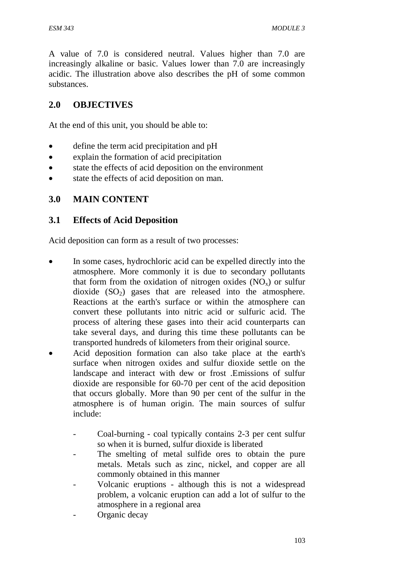A value of 7.0 is considered neutral. Values higher than 7.0 are increasingly alkaline or basic. Values lower than 7.0 are increasingly acidic. The illustration above also describes the pH of some common substances.

# **2.0 OBJECTIVES**

At the end of this unit, you should be able to:

- define the term acid precipitation and pH
- explain the formation of acid precipitation
- state the effects of acid deposition on the environment
- state the effects of acid deposition on man.

# **3.0 MAIN CONTENT**

## **3.1 Effects of Acid Deposition**

Acid deposition can form as a result of two processes:

- In some cases, hydrochloric acid can be expelled directly into the atmosphere. More commonly it is due to secondary pollutants that form from the oxidation of nitrogen oxides  $(NO_x)$  or sulfur dioxide  $(SO<sub>2</sub>)$  gases that are released into the atmosphere. Reactions at the earth's surface or within the atmosphere can convert these pollutants into nitric acid or sulfuric acid. The process of altering these gases into their acid counterparts can take several days, and during this time these pollutants can be transported hundreds of kilometers from their original source.
- Acid deposition formation can also take place at the earth's surface when nitrogen oxides and sulfur dioxide settle on the landscape and interact with dew or frost .Emissions of sulfur dioxide are responsible for 60-70 per cent of the acid deposition that occurs globally. More than 90 per cent of the sulfur in the atmosphere is of human origin. The main sources of sulfur include:
	- Coal-burning coal typically contains 2-3 per cent sulfur so when it is burned, sulfur dioxide is liberated
	- The smelting of metal sulfide ores to obtain the pure metals. Metals such as zinc, nickel, and copper are all commonly obtained in this manner
	- Volcanic eruptions although this is not a widespread problem, a volcanic eruption can add a lot of sulfur to the atmosphere in a regional area
	- Organic decay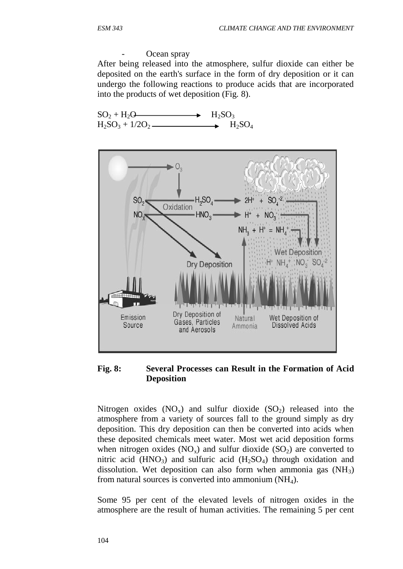#### Ocean spray

After being released into the atmosphere, sulfur dioxide can either be deposited on the earth's surface in the form of dry deposition or it can undergo the following reactions to produce acids that are incorporated into the products of wet deposition (Fig. 8).





#### **Fig. 8: Several Processes can Result in the Formation of Acid Deposition**

Nitrogen oxides  $(NO_x)$  and sulfur dioxide  $(SO_2)$  released into the atmosphere from a variety of sources fall to the ground simply as dry deposition. This dry deposition can then be converted into acids when these deposited chemicals meet water. Most wet acid deposition forms when nitrogen oxides  $(NO_x)$  and sulfur dioxide  $(SO_2)$  are converted to nitric acid (HNO<sub>3</sub>) and sulfuric acid (H<sub>2</sub>SO<sub>4</sub>) through oxidation and dissolution. Wet deposition can also form when ammonia gas  $(NH_3)$ from natural sources is converted into ammonium  $(NH<sub>4</sub>)$ .

Some 95 per cent of the elevated levels of nitrogen oxides in the atmosphere are the result of human activities. The remaining 5 per cent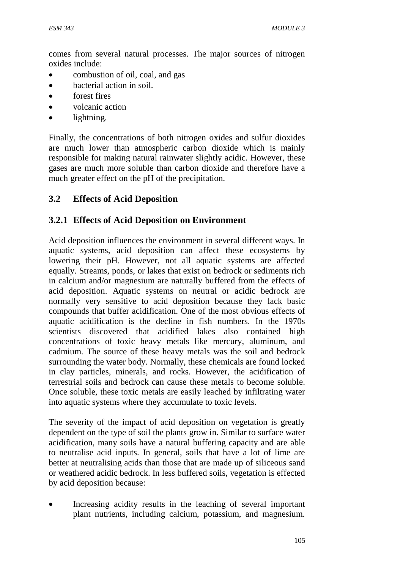comes from several natural processes. The major sources of nitrogen oxides include:

- combustion of oil, coal, and gas
- bacterial action in soil.
- forest fires
- volcanic action
- lightning.

Finally, the concentrations of both nitrogen oxides and sulfur dioxides are much lower than atmospheric carbon dioxide which is mainly responsible for making natural rainwater slightly acidic. However, these gases are much more soluble than carbon dioxide and therefore have a much greater effect on the pH of the precipitation.

# **3.2 Effects of Acid Deposition**

# **3.2.1 Effects of Acid Deposition on Environment**

Acid deposition influences the environment in several different ways. In aquatic systems, acid deposition can affect these ecosystems by lowering their pH. However, not all aquatic systems are affected equally. Streams, ponds, or lakes that exist on bedrock or sediments rich in calcium and/or magnesium are naturally buffered from the effects of acid deposition. Aquatic systems on neutral or acidic bedrock are normally very sensitive to acid deposition because they lack basic compounds that buffer acidification. One of the most obvious effects of aquatic acidification is the decline in fish numbers. In the 1970s scientists discovered that acidified lakes also contained high concentrations of toxic heavy metals like mercury, aluminum, and cadmium. The source of these heavy metals was the soil and bedrock surrounding the water body. Normally, these chemicals are found locked in clay particles, minerals, and rocks. However, the acidification of terrestrial soils and bedrock can cause these metals to become soluble. Once soluble, these toxic metals are easily leached by infiltrating water into aquatic systems where they accumulate to toxic levels.

The severity of the impact of acid deposition on vegetation is greatly dependent on the type of soil the plants grow in. Similar to surface water acidification, many soils have a natural buffering capacity and are able to neutralise acid inputs. In general, soils that have a lot of lime are better at neutralising acids than those that are made up of siliceous sand or weathered acidic bedrock. In less buffered soils, vegetation is effected by acid deposition because:

 Increasing acidity results in the leaching of several important plant nutrients, including calcium, potassium, and magnesium.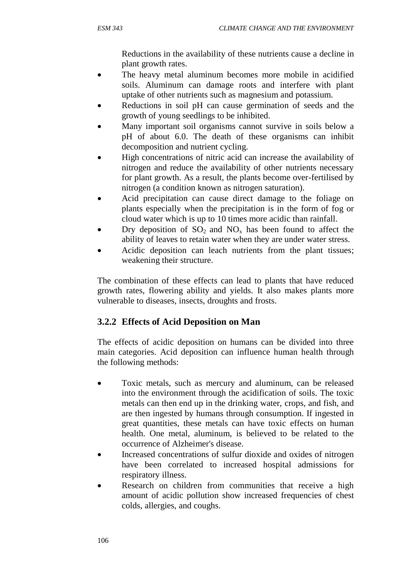Reductions in the availability of these nutrients cause a decline in plant growth rates.

- The heavy metal aluminum becomes more mobile in acidified soils. Aluminum can damage roots and interfere with plant uptake of other nutrients such as magnesium and potassium.
- Reductions in soil pH can cause germination of seeds and the growth of young seedlings to be inhibited.
- Many important soil organisms cannot survive in soils below a pH of about 6.0. The death of these organisms can inhibit decomposition and nutrient cycling.
- High concentrations of nitric acid can increase the availability of nitrogen and reduce the availability of other nutrients necessary for plant growth. As a result, the plants become over-fertilised by nitrogen (a condition known as nitrogen saturation).
- Acid precipitation can cause direct damage to the foliage on plants especially when the precipitation is in the form of fog or cloud water which is up to 10 times more acidic than rainfall.
- Dry deposition of  $SO_2$  and  $NO_x$  has been found to affect the ability of leaves to retain water when they are under water stress.
- Acidic deposition can leach nutrients from the plant tissues; weakening their structure.

The combination of these effects can lead to plants that have reduced growth rates, flowering ability and yields. It also makes plants more vulnerable to diseases, insects, droughts and frosts.

# **3.2.2 Effects of Acid Deposition on Man**

The effects of acidic deposition on humans can be divided into three main categories. Acid deposition can influence human health through the following methods:

- Toxic metals, such as mercury and aluminum, can be released into the environment through the acidification of soils. The toxic metals can then end up in the drinking water, crops, and fish, and are then ingested by humans through consumption. If ingested in great quantities, these metals can have toxic effects on human health. One metal, aluminum, is believed to be related to the occurrence of Alzheimer's disease.
- Increased concentrations of sulfur dioxide and oxides of nitrogen have been correlated to increased hospital admissions for respiratory illness.
- Research on children from communities that receive a high amount of acidic pollution show increased frequencies of chest colds, allergies, and coughs.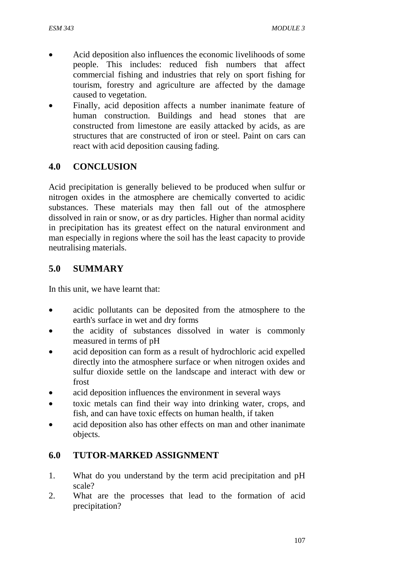- Acid deposition also influences the economic livelihoods of some people. This includes: reduced fish numbers that affect commercial fishing and industries that rely on sport fishing for tourism, forestry and agriculture are affected by the damage caused to vegetation.
- Finally, acid deposition affects a number inanimate feature of human construction. Buildings and head stones that are constructed from limestone are easily attacked by acids, as are structures that are constructed of iron or steel. Paint on cars can react with acid deposition causing fading.

# **4.0 CONCLUSION**

Acid precipitation is generally believed to be produced when sulfur or nitrogen oxides in the atmosphere are chemically converted to acidic substances. These materials may then fall out of the atmosphere dissolved in rain or snow, or as dry particles. Higher than normal acidity in precipitation has its greatest effect on the natural environment and man especially in regions where the soil has the least capacity to provide neutralising materials.

# **5.0 SUMMARY**

In this unit, we have learnt that:

- acidic pollutants can be deposited from the atmosphere to the earth's surface in wet and dry forms
- the acidity of substances dissolved in water is commonly measured in terms of pH
- acid deposition can form as a result of hydrochloric acid expelled directly into the atmosphere surface or when nitrogen oxides and sulfur dioxide settle on the landscape and interact with dew or frost
- acid deposition influences the environment in several ways
- toxic metals can find their way into drinking water, crops, and fish, and can have toxic effects on human health, if taken
- acid deposition also has other effects on man and other inanimate objects.

# **6.0 TUTOR-MARKED ASSIGNMENT**

- 1. What do you understand by the term acid precipitation and pH scale?
- 2. What are the processes that lead to the formation of acid precipitation?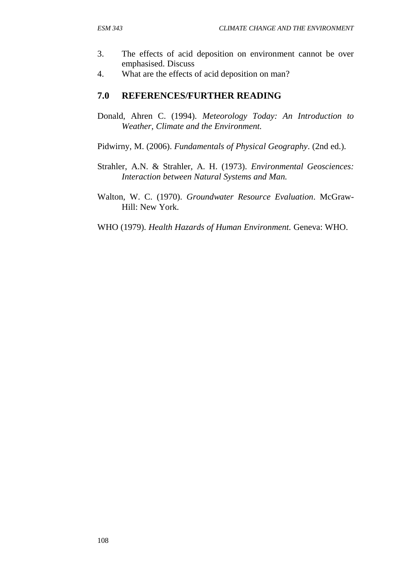- 3. The effects of acid deposition on environment cannot be over emphasised. Discuss
- 4. What are the effects of acid deposition on man?

# **7.0 REFERENCES/FURTHER READING**

- Donald, Ahren C. (1994). *Meteorology Today: An Introduction to Weather, Climate and the Environment.*
- Pidwirny, M. (2006). *Fundamentals of Physical Geography*. (2nd ed.).
- Strahler, A.N. & Strahler, A. H. (1973). *Environmental Geosciences: Interaction between Natural Systems and Man.*
- Walton, W. C. (1970). *Groundwater Resource Evaluation*. McGraw-Hill: New York.
- WHO (1979). *Health Hazards of Human Environment.* Geneva: WHO.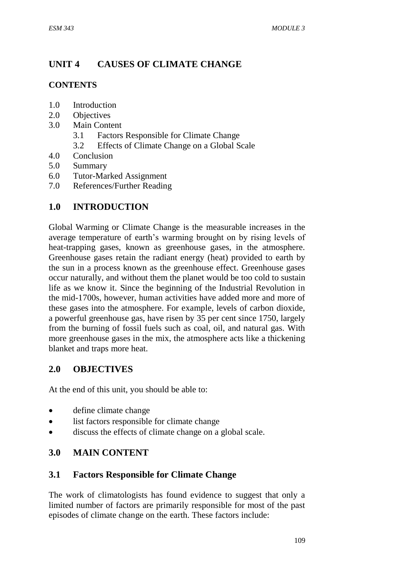# **UNIT 4 CAUSES OF CLIMATE CHANGE**

#### **CONTENTS**

- 1.0 Introduction
- 2.0 Objectives
- 3.0 Main Content
	- 3.1 Factors Responsible for Climate Change
	- 3.2 Effects of Climate Change on a Global Scale
- 4.0 Conclusion
- 5.0 Summary
- 6.0 Tutor-Marked Assignment
- 7.0 References/Further Reading

# **1.0 INTRODUCTION**

Global Warming or Climate Change is the measurable increases in the average temperature of earth's warming brought on by rising levels of heat-trapping gases, known as greenhouse gases, in the atmosphere. Greenhouse gases retain the radiant energy (heat) provided to earth by the sun in a process known as the greenhouse effect. Greenhouse gases occur naturally, and without them the planet would be too cold to sustain life as we know it. Since the beginning of the Industrial Revolution in the mid-1700s, however, human activities have added more and more of these gases into the atmosphere. For example, levels of carbon dioxide, a powerful greenhouse gas, have risen by 35 per cent since 1750, largely from the burning of fossil fuels such as coal, oil, and natural gas. With more greenhouse gases in the mix, the atmosphere acts like a thickening blanket and traps more heat.

# **2.0 OBJECTIVES**

At the end of this unit, you should be able to:

- define climate change
- list factors responsible for climate change
- discuss the effects of climate change on a global scale.

# **3.0 MAIN CONTENT**

# **3.1 Factors Responsible for Climate Change**

The work of climatologists has found evidence to suggest that only a limited number of factors are primarily responsible for most of the past episodes of climate change on the earth. These factors include: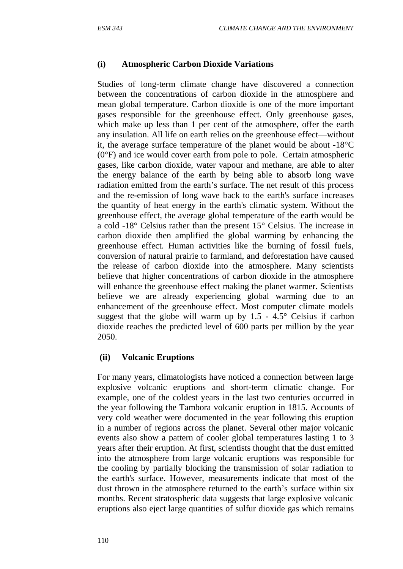#### **(i) Atmospheric Carbon Dioxide Variations**

Studies of long-term climate change have discovered a connection between the concentrations of carbon dioxide in the atmosphere and mean global temperature. Carbon dioxide is one of the more important gases responsible for the greenhouse effect. Only greenhouse gases, which make up less than 1 per cent of the atmosphere, offer the earth any insulation. All life on earth relies on the greenhouse effect—without it, the average surface temperature of the planet would be about -18°C (0°F) and ice would cover earth from pole to pole. Certain atmospheric gases, like carbon dioxide, water vapour and methane, are able to alter the energy balance of the earth by being able to absorb long wave radiation emitted from the earth's surface. The net result of this process and the re-emission of long wave back to the earth's surface increases the quantity of heat energy in the earth's climatic system. Without the greenhouse effect, the average global temperature of the earth would be a cold -18° Celsius rather than the present 15° Celsius. The increase in carbon dioxide then amplified the global warming by enhancing the greenhouse effect. Human activities like the burning of fossil fuels, conversion of natural prairie to farmland, and deforestation have caused the release of carbon dioxide into the atmosphere. Many scientists believe that higher concentrations of carbon dioxide in the atmosphere will enhance the greenhouse effect making the planet warmer. Scientists believe we are already experiencing global warming due to an enhancement of the greenhouse effect. Most computer climate models suggest that the globe will warm up by  $1.5 - 4.5^{\circ}$  Celsius if carbon dioxide reaches the predicted level of 600 parts per million by the year 2050.

#### **(ii) Volcanic Eruptions**

For many years, climatologists have noticed a connection between large explosive volcanic eruptions and short-term climatic change. For example, one of the coldest years in the last two centuries occurred in the year following the Tambora volcanic eruption in 1815. Accounts of very cold weather were documented in the year following this eruption in a number of regions across the planet. Several other major volcanic events also show a pattern of cooler global temperatures lasting 1 to 3 years after their eruption. At first, scientists thought that the dust emitted into the atmosphere from large volcanic eruptions was responsible for the cooling by partially blocking the transmission of solar radiation to the earth's surface. However, measurements indicate that most of the dust thrown in the atmosphere returned to the earth's surface within six months. Recent stratospheric data suggests that large explosive volcanic eruptions also eject large quantities of sulfur dioxide gas which remains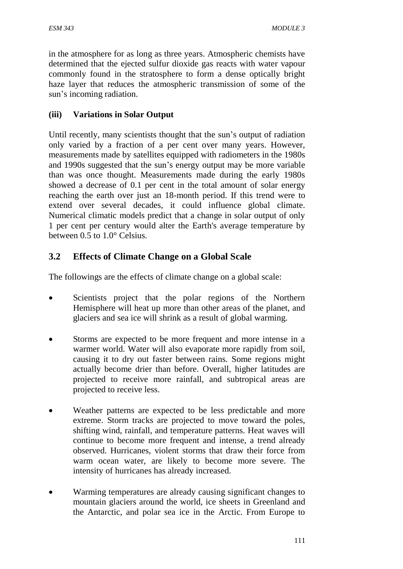in the atmosphere for as long as three years. Atmospheric chemists have determined that the ejected sulfur dioxide gas reacts with water vapour commonly found in the stratosphere to form a dense optically bright haze layer that reduces the atmospheric transmission of some of the sun's incoming radiation.

## **(iii) Variations in Solar Output**

Until recently, many scientists thought that the sun's output of radiation only varied by a fraction of a per cent over many years. However, measurements made by satellites equipped with radiometers in the 1980s and 1990s suggested that the sun's energy output may be more variable than was once thought. Measurements made during the early 1980s showed a decrease of 0.1 per cent in the total amount of solar energy reaching the earth over just an 18-month period. If this trend were to extend over several decades, it could influence global climate. Numerical climatic models predict that a change in solar output of only 1 per cent per century would alter the Earth's average temperature by between 0.5 to 1.0° Celsius.

# **3.2 Effects of Climate Change on a Global Scale**

The followings are the effects of climate change on a global scale:

- Scientists project that the polar regions of the Northern Hemisphere will heat up more than other areas of the planet, and glaciers and sea ice will shrink as a result of global warming.
- Storms are expected to be more frequent and more intense in a warmer world. Water will also evaporate more rapidly from soil, causing it to dry out faster between rains. Some regions might actually become drier than before. Overall, higher latitudes are projected to receive more rainfall, and subtropical areas are projected to receive less.
- Weather patterns are expected to be less predictable and more extreme. Storm tracks are projected to move toward the poles, shifting wind, rainfall, and temperature patterns. Heat waves will continue to become more frequent and intense, a trend already observed. Hurricanes, violent storms that draw their force from warm ocean water, are likely to become more severe. The intensity of hurricanes has already increased.
- Warming temperatures are already causing significant changes to mountain glaciers around the world, ice sheets in Greenland and the Antarctic, and polar sea ice in the Arctic. From Europe to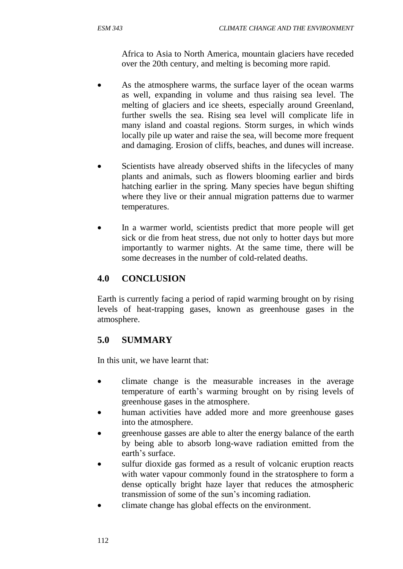Africa to Asia to North America, mountain glaciers have receded over the 20th century, and melting is becoming more rapid.

- As the atmosphere warms, the surface layer of the ocean warms as well, expanding in volume and thus raising sea level. The melting of glaciers and ice sheets, especially around Greenland, further swells the sea. Rising sea level will complicate life in many island and coastal regions. Storm surges, in which winds locally pile up water and raise the sea, will become more frequent and damaging. Erosion of cliffs, beaches, and dunes will increase.
- Scientists have already observed shifts in the lifecycles of many plants and animals, such as flowers blooming earlier and birds hatching earlier in the spring. Many species have begun shifting where they live or their annual migration patterns due to warmer temperatures.
- In a warmer world, scientists predict that more people will get sick or die from heat stress, due not only to hotter days but more importantly to warmer nights. At the same time, there will be some decreases in the number of cold-related deaths.

# **4.0 CONCLUSION**

Earth is currently facing a period of rapid warming brought on by rising levels of heat-trapping gases, known as greenhouse gases in the atmosphere.

# **5.0 SUMMARY**

In this unit, we have learnt that:

- climate change is the measurable increases in the average temperature of earth's warming brought on by rising levels of greenhouse gases in the atmosphere.
- human activities have added more and more greenhouse gases into the atmosphere.
- greenhouse gasses are able to alter the energy balance of the earth by being able to absorb long-wave radiation emitted from the earth's surface.
- sulfur dioxide gas formed as a result of volcanic eruption reacts with water vapour commonly found in the stratosphere to form a dense optically bright haze layer that reduces the atmospheric transmission of some of the sun's incoming radiation.
- climate change has global effects on the environment.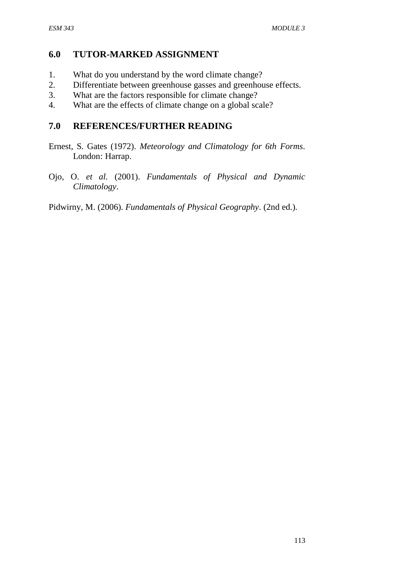## **6.0 TUTOR-MARKED ASSIGNMENT**

- 1. What do you understand by the word climate change?
- 2. Differentiate between greenhouse gasses and greenhouse effects.
- 3. What are the factors responsible for climate change?
- 4. What are the effects of climate change on a global scale?

## **7.0 REFERENCES/FURTHER READING**

- Ernest, S. Gates (1972). *Meteorology and Climatology for 6th Forms*. London: Harrap.
- Ojo, O. *et al.* (2001). *Fundamentals of Physical and Dynamic Climatology*.

Pidwirny, M. (2006). *Fundamentals of Physical Geography*. (2nd ed.).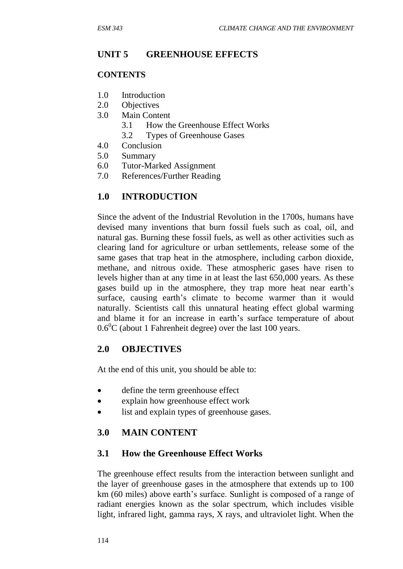# **UNIT 5 GREENHOUSE EFFECTS**

### **CONTENTS**

- 1.0 Introduction
- 2.0 Objectives
- 3.0 Main Content
	- 3.1 How the Greenhouse Effect Works
	- 3.2 Types of Greenhouse Gases
- 4.0 Conclusion
- 5.0 Summary
- 6.0 Tutor-Marked Assignment
- 7.0 References/Further Reading

# **1.0 INTRODUCTION**

Since the advent of the Industrial Revolution in the 1700s, humans have devised many inventions that burn fossil fuels such as coal, oil, and natural gas. Burning these fossil fuels, as well as other activities such as clearing land for agriculture or urban settlements, release some of the same gases that trap heat in the atmosphere, including carbon dioxide, methane, and nitrous oxide. These atmospheric gases have risen to levels higher than at any time in at least the last 650,000 years. As these gases build up in the atmosphere, they trap more heat near earth's surface, causing earth's climate to become warmer than it would naturally. Scientists call this unnatural heating effect global warming and blame it for an increase in earth's surface temperature of about  $0.6^{\circ}$ C (about 1 Fahrenheit degree) over the last 100 years.

# **2.0 OBJECTIVES**

At the end of this unit, you should be able to:

- define the term greenhouse effect
- explain how greenhouse effect work
- list and explain types of greenhouse gases.

# **3.0 MAIN CONTENT**

# **3.1 How the Greenhouse Effect Works**

The greenhouse effect results from the interaction between sunlight and the layer of greenhouse gases in the atmosphere that extends up to 100 km (60 miles) above earth's surface. Sunlight is composed of a range of radiant energies known as the solar spectrum, which includes visible light, infrared light, gamma rays, X rays, and ultraviolet light. When the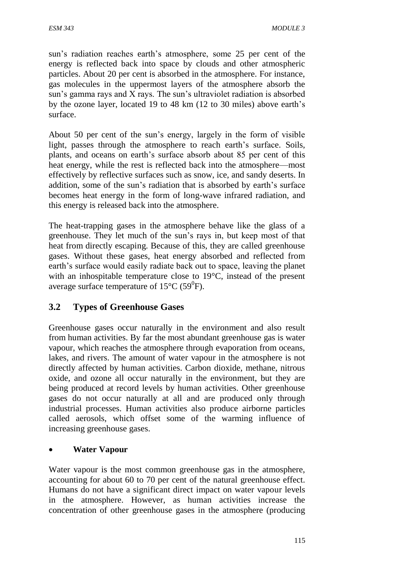sun's radiation reaches earth's atmosphere, some 25 per cent of the energy is reflected back into space by clouds and other atmospheric particles. About 20 per cent is absorbed in the atmosphere. For instance, gas molecules in the uppermost layers of the atmosphere absorb the sun's gamma rays and X rays. The sun's ultraviolet radiation is absorbed by the ozone layer, located 19 to 48 km (12 to 30 miles) above earth's surface.

About 50 per cent of the sun's energy, largely in the form of visible light, passes through the atmosphere to reach earth's surface. Soils, plants, and oceans on earth's surface absorb about 85 per cent of this heat energy, while the rest is reflected back into the atmosphere—most effectively by reflective surfaces such as snow, ice, and sandy deserts. In addition, some of the sun's radiation that is absorbed by earth's surface becomes heat energy in the form of long-wave infrared radiation, and this energy is released back into the atmosphere.

The heat-trapping gases in the atmosphere behave like the glass of a greenhouse. They let much of the sun's rays in, but keep most of that heat from directly escaping. Because of this, they are called greenhouse gases. Without these gases, heat energy absorbed and reflected from earth's surface would easily radiate back out to space, leaving the planet with an inhospitable temperature close to 19°C, instead of the present average surface temperature of  $15^{\circ}$ C (59 $^{0}$ F).

# **3.2 Types of Greenhouse Gases**

Greenhouse gases occur naturally in the environment and also result from human activities. By far the most abundant greenhouse gas is water vapour, which reaches the atmosphere through evaporation from oceans, lakes, and rivers. The amount of water vapour in the atmosphere is not directly affected by human activities. Carbon dioxide, methane, nitrous oxide, and ozone all occur naturally in the environment, but they are being produced at record levels by human activities. Other greenhouse gases do not occur naturally at all and are produced only through industrial processes. Human activities also produce airborne particles called aerosols, which offset some of the warming influence of increasing greenhouse gases.

# **Water Vapour**

Water vapour is the most common greenhouse gas in the atmosphere, accounting for about 60 to 70 per cent of the natural greenhouse effect. Humans do not have a significant direct impact on water vapour levels in the atmosphere. However, as human activities increase the concentration of other greenhouse gases in the atmosphere (producing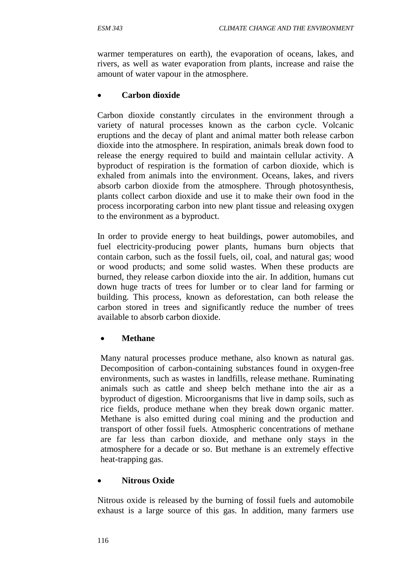warmer temperatures on earth), the evaporation of oceans, lakes, and rivers, as well as water evaporation from plants, increase and raise the amount of water vapour in the atmosphere.

#### **Carbon dioxide**

Carbon dioxide constantly circulates in the environment through a variety of natural processes known as the carbon cycle. Volcanic eruptions and the decay of plant and animal matter both release carbon dioxide into the atmosphere. In respiration, animals break down food to release the energy required to build and maintain cellular activity. A byproduct of respiration is the formation of carbon dioxide, which is exhaled from animals into the environment. Oceans, lakes, and rivers absorb carbon dioxide from the atmosphere. Through photosynthesis, plants collect carbon dioxide and use it to make their own food in the process incorporating carbon into new plant tissue and releasing oxygen to the environment as a byproduct.

In order to provide energy to heat buildings, power automobiles, and fuel electricity-producing power plants, humans burn objects that contain carbon, such as the fossil fuels, oil, coal, and natural gas; wood or wood products; and some solid wastes. When these products are burned, they release carbon dioxide into the air. In addition, humans cut down huge tracts of trees for lumber or to clear land for farming or building. This process, known as deforestation, can both release the carbon stored in trees and significantly reduce the number of trees available to absorb carbon dioxide.

# **Methane**

Many natural processes produce methane, also known as natural gas. Decomposition of carbon-containing substances found in oxygen-free environments, such as wastes in landfills, release methane. Ruminating animals such as cattle and sheep belch methane into the air as a byproduct of digestion. Microorganisms that live in damp soils, such as rice fields, produce methane when they break down organic matter. Methane is also emitted during coal mining and the production and transport of other fossil fuels. Atmospheric concentrations of methane are far less than carbon dioxide, and methane only stays in the atmosphere for a decade or so. But methane is an extremely effective heat-trapping gas.

#### **Nitrous Oxide**

Nitrous oxide is released by the burning of fossil fuels and automobile exhaust is a large source of this gas. In addition, many farmers use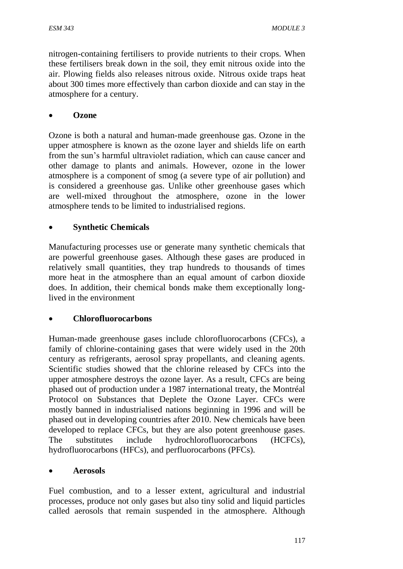nitrogen-containing fertilisers to provide nutrients to their crops. When these fertilisers break down in the soil, they emit nitrous oxide into the air. Plowing fields also releases nitrous oxide. Nitrous oxide traps heat about 300 times more effectively than carbon dioxide and can stay in the atmosphere for a century.

## **Ozone**

Ozone is both a natural and human-made greenhouse gas. Ozone in the upper atmosphere is known as the ozone layer and shields life on earth from the sun's harmful ultraviolet radiation, which can cause cancer and other damage to plants and animals. However, ozone in the lower atmosphere is a component of smog (a severe type of air pollution) and is considered a greenhouse gas. Unlike other greenhouse gases which are well-mixed throughout the atmosphere, ozone in the lower atmosphere tends to be limited to industrialised regions.

## **Synthetic Chemicals**

Manufacturing processes use or generate many synthetic chemicals that are powerful greenhouse gases. Although these gases are produced in relatively small quantities, they trap hundreds to thousands of times more heat in the atmosphere than an equal amount of carbon dioxide does. In addition, their chemical bonds make them exceptionally longlived in the environment

#### **Chlorofluorocarbons**

Human-made greenhouse gases include chlorofluorocarbons (CFCs), a family of chlorine-containing gases that were widely used in the 20th century as refrigerants, aerosol spray propellants, and cleaning agents. Scientific studies showed that the chlorine released by CFCs into the upper atmosphere destroys the ozone layer. As a result, CFCs are being phased out of production under a 1987 international treaty, the Montréal Protocol on Substances that Deplete the Ozone Layer. CFCs were mostly banned in industrialised nations beginning in 1996 and will be phased out in developing countries after 2010. New chemicals have been developed to replace CFCs, but they are also potent greenhouse gases. The substitutes include hydrochlorofluorocarbons (HCFCs), hydrofluorocarbons (HFCs), and perfluorocarbons (PFCs).

#### **Aerosols**

Fuel combustion, and to a lesser extent, agricultural and industrial processes, produce not only gases but also tiny solid and liquid particles called aerosols that remain suspended in the atmosphere. Although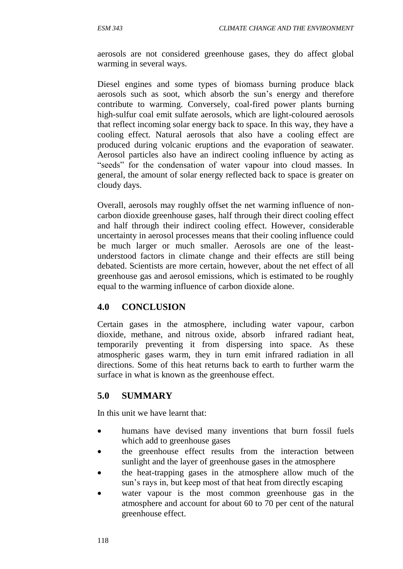aerosols are not considered greenhouse gases, they do affect global warming in several ways.

Diesel engines and some types of biomass burning produce black aerosols such as soot, which absorb the sun's energy and therefore contribute to warming. Conversely, coal-fired power plants burning high-sulfur coal emit sulfate aerosols, which are light-coloured aerosols that reflect incoming solar energy back to space. In this way, they have a cooling effect. Natural aerosols that also have a cooling effect are produced during volcanic eruptions and the evaporation of seawater. Aerosol particles also have an indirect cooling influence by acting as "seeds" for the condensation of water vapour into cloud masses. In general, the amount of solar energy reflected back to space is greater on cloudy days.

Overall, aerosols may roughly offset the net warming influence of noncarbon dioxide greenhouse gases, half through their direct cooling effect and half through their indirect cooling effect. However, considerable uncertainty in aerosol processes means that their cooling influence could be much larger or much smaller. Aerosols are one of the leastunderstood factors in climate change and their effects are still being debated. Scientists are more certain, however, about the net effect of all greenhouse gas and aerosol emissions, which is estimated to be roughly equal to the warming influence of carbon dioxide alone.

# **4.0 CONCLUSION**

Certain gases in the atmosphere, including water vapour, carbon dioxide, methane, and nitrous oxide, absorb infrared radiant heat, temporarily preventing it from dispersing into space. As these atmospheric gases warm, they in turn emit infrared radiation in all directions. Some of this heat returns back to earth to further warm the surface in what is known as the greenhouse effect.

# **5.0 SUMMARY**

In this unit we have learnt that:

- humans have devised many inventions that burn fossil fuels which add to greenhouse gases
- the greenhouse effect results from the interaction between sunlight and the layer of greenhouse gases in the atmosphere
- the heat-trapping gases in the atmosphere allow much of the sun's rays in, but keep most of that heat from directly escaping
- water vapour is the most common greenhouse gas in the atmosphere and account for about 60 to 70 per cent of the natural greenhouse effect.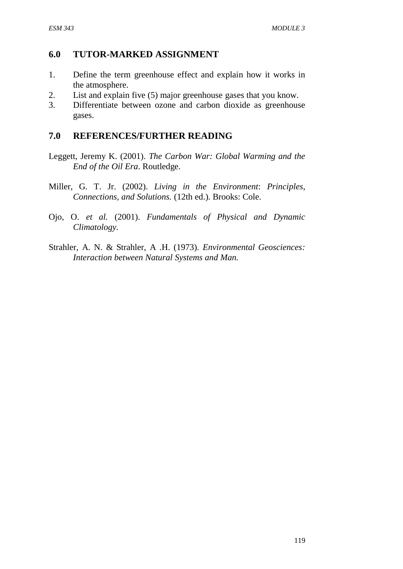## **6.0 TUTOR-MARKED ASSIGNMENT**

- 1. Define the term greenhouse effect and explain how it works in the atmosphere.
- 2. List and explain five (5) major greenhouse gases that you know.
- 3. Differentiate between ozone and carbon dioxide as greenhouse gases.

#### **7.0 REFERENCES/FURTHER READING**

Leggett, Jeremy K. (2001). *The Carbon War: Global Warming and the End of the Oil Era*. Routledge.

- Miller, G. T. Jr. (2002). *Living in the Environment*: *Principles, Connections, and Solutions.* (12th ed.). Brooks: Cole.
- Ojo, O. *et al.* (2001). *Fundamentals of Physical and Dynamic Climatology.*
- Strahler, A. N. & Strahler, A .H. (1973). *Environmental Geosciences: Interaction between Natural Systems and Man.*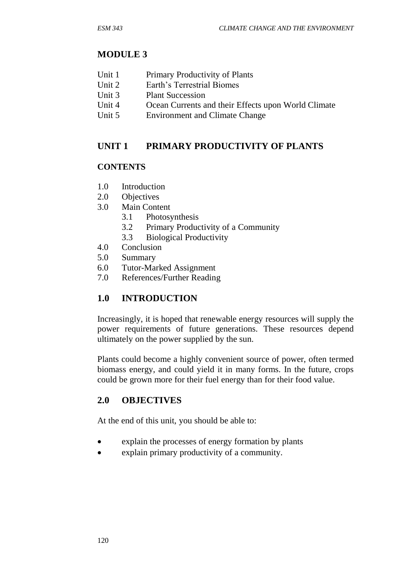# **MODULE 3**

- Unit 1 Primary Productivity of Plants
- Unit 2 Earth's Terrestrial Biomes
- Unit 3 Plant Succession
- Unit 4 Ocean Currents and their Effects upon World Climate
- Unit 5 Environment and Climate Change

# **UNIT 1 PRIMARY PRODUCTIVITY OF PLANTS**

## **CONTENTS**

- 1.0 Introduction
- 2.0 Objectives
- 3.0 Main Content
	- 3.1 Photosynthesis
	- 3.2 Primary Productivity of a Community
	- 3.3 Biological Productivity
- 4.0 Conclusion
- 5.0 Summary
- 6.0 Tutor-Marked Assignment
- 7.0 References/Further Reading

# **1.0 INTRODUCTION**

Increasingly, it is hoped that renewable energy resources will supply the power requirements of future generations. These resources depend ultimately on the power supplied by the sun.

Plants could become a highly convenient source of power, often termed biomass energy, and could yield it in many forms. In the future, crops could be grown more for their fuel energy than for their food value.

# **2.0 OBJECTIVES**

At the end of this unit, you should be able to:

- explain the processes of energy formation by plants
- explain primary productivity of a community.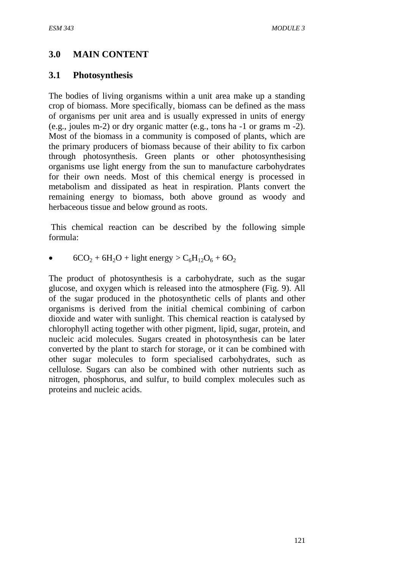# **3.0 MAIN CONTENT**

# **3.1 Photosynthesis**

The bodies of living organisms within a unit area make up a standing crop of biomass. More specifically, biomass can be defined as the mass of organisms per unit area and is usually expressed in units of energy (e.g., joules m-2) or dry organic matter (e.g., tons ha -1 or grams m -2). Most of the biomass in a community is composed of plants, which are the primary producers of biomass because of their ability to fix carbon through photosynthesis. Green plants or other photosynthesising organisms use light energy from the sun to manufacture carbohydrates for their own needs. Most of this chemical energy is processed in metabolism and dissipated as heat in respiration. Plants convert the remaining energy to biomass, both above ground as woody and herbaceous tissue and below ground as roots.

This chemical reaction can be described by the following simple formula:

•  $6CO_2 + 6H_2O +$  light energy  $>C_6H_{12}O_6 + 6O_2$ 

The product of photosynthesis is a carbohydrate, such as the sugar glucose, and oxygen which is released into the atmosphere (Fig. 9). All of the sugar produced in the photosynthetic cells of plants and other organisms is derived from the initial chemical combining of carbon dioxide and water with sunlight. This chemical reaction is catalysed by chlorophyll acting together with other pigment, lipid, sugar, protein, and nucleic acid molecules. Sugars created in photosynthesis can be later converted by the plant to starch for storage, or it can be combined with other sugar molecules to form specialised carbohydrates, such as cellulose. Sugars can also be combined with other nutrients such as nitrogen, phosphorus, and sulfur, to build complex molecules such as proteins and nucleic acids.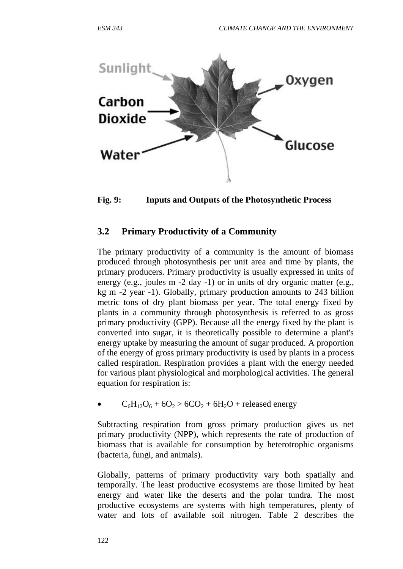

**Fig. 9: Inputs and Outputs of the Photosynthetic Process**

#### **3.2 Primary Productivity of a Community**

The primary productivity of a community is the amount of biomass produced through photosynthesis per unit area and time by plants, the primary producers. Primary productivity is usually expressed in units of energy (e.g., joules m -2 day -1) or in units of dry organic matter (e.g., kg m -2 year -1). Globally, primary production amounts to 243 billion metric tons of dry plant biomass per year. The total energy fixed by plants in a community through photosynthesis is referred to as gross primary productivity (GPP). Because all the energy fixed by the plant is converted into sugar, it is theoretically possible to determine a plant's energy uptake by measuring the amount of sugar produced. A proportion of the energy of gross primary productivity is used by plants in a process called respiration. Respiration provides a plant with the energy needed for various plant physiological and morphological activities. The general equation for respiration is:

 $C_6H_{12}O_6 + 6O_2 > 6CO_2 + 6H_2O$  + released energy

Subtracting respiration from gross primary production gives us net primary productivity (NPP), which represents the rate of production of biomass that is available for consumption by heterotrophic organisms (bacteria, fungi, and animals).

Globally, patterns of primary productivity vary both spatially and temporally. The least productive ecosystems are those limited by heat energy and water like the deserts and the polar tundra. The most productive ecosystems are systems with high temperatures, plenty of water and lots of available soil nitrogen. Table 2 describes the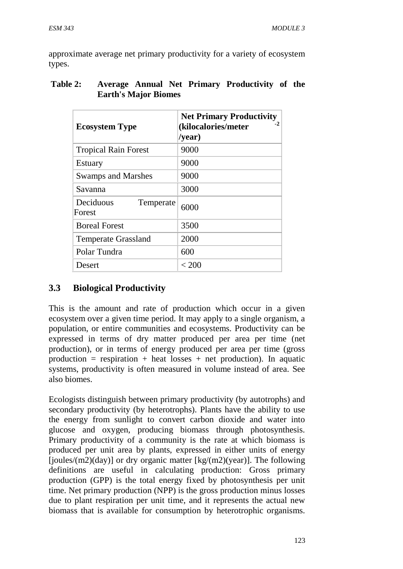approximate average net primary productivity for a variety of ecosystem types.

## **Table 2: Average Annual Net Primary Productivity of the Earth's Major Biomes**

| <b>Ecosystem Type</b>            | <b>Net Primary Productivity</b><br>(kilocalories/meter<br>/year) |
|----------------------------------|------------------------------------------------------------------|
| <b>Tropical Rain Forest</b>      | 9000                                                             |
| <b>Estuary</b>                   | 9000                                                             |
| <b>Swamps and Marshes</b>        | 9000                                                             |
| Savanna                          | 3000                                                             |
| Deciduous<br>Temperate<br>Forest | 6000                                                             |
| <b>Boreal Forest</b>             | 3500                                                             |
| <b>Temperate Grassland</b>       | 2000                                                             |
| Polar Tundra                     | 600                                                              |
| Desert                           | < 200                                                            |

# **3.3 Biological Productivity**

This is the amount and rate of production which occur in a given ecosystem over a given time period. It may apply to a single organism, a population, or entire communities and ecosystems. Productivity can be expressed in terms of dry matter produced per area per time (net production), or in terms of energy produced per area per time (gross production = respiration + heat losses + net production). In aquatic systems, productivity is often measured in volume instead of area. See also biomes.

Ecologists distinguish between primary productivity (by autotrophs) and secondary productivity (by heterotrophs). Plants have the ability to use the energy from sunlight to convert carbon dioxide and water into glucose and oxygen, producing biomass through photosynthesis. Primary productivity of a community is the rate at which biomass is produced per unit area by plants, expressed in either units of energy [joules/(m2)(day)] or dry organic matter  $[kg/(m2)(year)]$ . The following definitions are useful in calculating production: Gross primary production (GPP) is the total energy fixed by photosynthesis per unit time. Net primary production (NPP) is the gross production minus losses due to plant respiration per unit time, and it represents the actual new biomass that is available for consumption by heterotrophic organisms.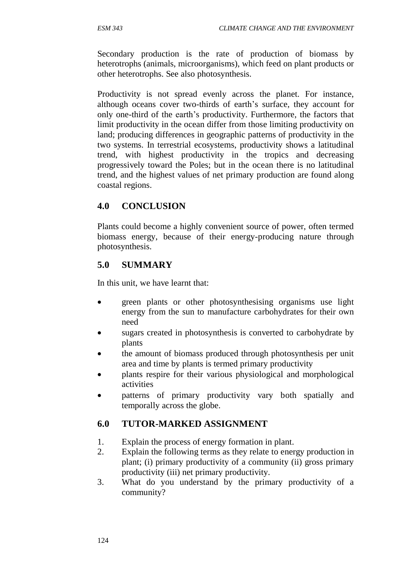Secondary production is the rate of production of biomass by heterotrophs (animals, microorganisms), which feed on plant products or other heterotrophs. See also photosynthesis.

Productivity is not spread evenly across the planet. For instance, although oceans cover two-thirds of earth's surface, they account for only one-third of the earth's productivity. Furthermore, the factors that limit productivity in the ocean differ from those limiting productivity on land; producing differences in geographic patterns of productivity in the two systems. In terrestrial ecosystems, productivity shows a latitudinal trend, with highest productivity in the tropics and decreasing progressively toward the Poles; but in the ocean there is no latitudinal trend, and the highest values of net primary production are found along coastal regions.

# **4.0 CONCLUSION**

Plants could become a highly convenient source of power, often termed biomass energy, because of their energy-producing nature through photosynthesis.

# **5.0 SUMMARY**

In this unit, we have learnt that:

- green plants or other photosynthesising organisms use light energy from the sun to manufacture carbohydrates for their own need
- sugars created in photosynthesis is converted to carbohydrate by plants
- the amount of biomass produced through photosynthesis per unit area and time by plants is termed primary productivity
- plants respire for their various physiological and morphological activities
- patterns of primary productivity vary both spatially and temporally across the globe.

# **6.0 TUTOR-MARKED ASSIGNMENT**

- 1. Explain the process of energy formation in plant.
- 2. Explain the following terms as they relate to energy production in plant; (i) primary productivity of a community (ii) gross primary productivity (iii) net primary productivity.
- 3. What do you understand by the primary productivity of a community?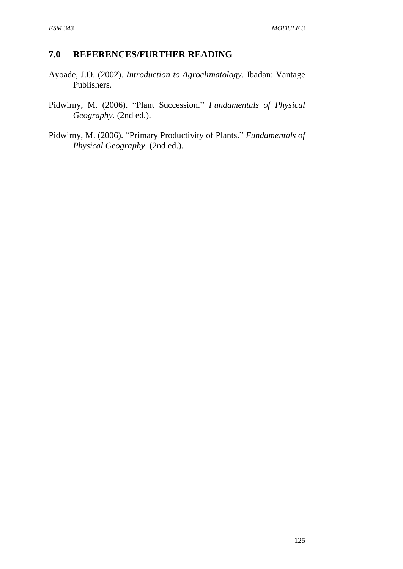## **7.0 REFERENCES/FURTHER READING**

- Ayoade, J.O. (2002). *Introduction to Agroclimatology.* Ibadan: Vantage Publishers.
- Pidwirny, M. (2006). "Plant Succession." *Fundamentals of Physical Geography*. (2nd ed.).
- Pidwirny, M. (2006). "Primary Productivity of Plants." *Fundamentals of Physical Geography*. (2nd ed.).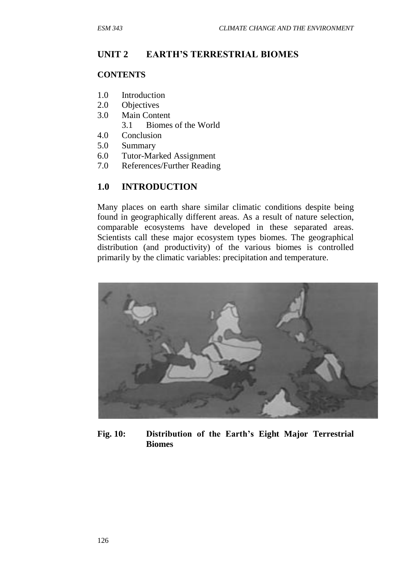# **UNIT 2 EARTH'S TERRESTRIAL BIOMES**

### **CONTENTS**

- 1.0 Introduction
- 2.0 Objectives
- 3.0 Main Content
	- 3.1 Biomes of the World
- 4.0 Conclusion
- 5.0 Summary
- 6.0 Tutor-Marked Assignment
- 7.0 References/Further Reading

## **1.0 INTRODUCTION**

Many places on earth share similar climatic conditions despite being found in geographically different areas. As a result of nature selection, comparable ecosystems have developed in these separated areas. Scientists call these major ecosystem types biomes. The geographical distribution (and productivity) of the various biomes is controlled primarily by the climatic variables: precipitation and temperature.



**Fig. 10: Distribution of the Earth's Eight Major Terrestrial Biomes**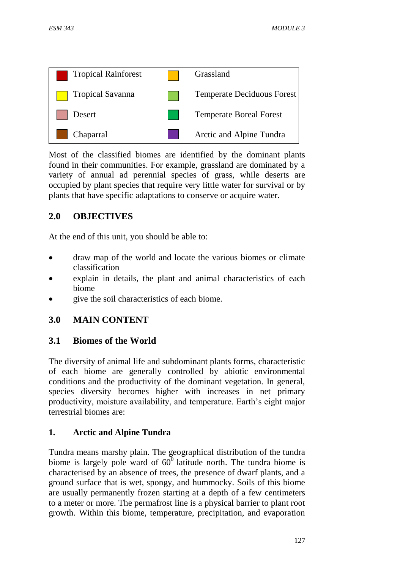

Most of the classified biomes are identified by the dominant plants found in their communities. For example, grassland are dominated by a variety of annual ad perennial species of grass, while deserts are occupied by plant species that require very little water for survival or by plants that have specific adaptations to conserve or acquire water.

# **2.0 OBJECTIVES**

At the end of this unit, you should be able to:

- draw map of the world and locate the various biomes or climate classification
- explain in details, the plant and animal characteristics of each biome
- give the soil characteristics of each biome.

## **3.0 MAIN CONTENT**

## **3.1 Biomes of the World**

The diversity of animal life and subdominant plants forms, characteristic of each biome are generally controlled by abiotic environmental conditions and the productivity of the dominant vegetation. In general, species diversity becomes higher with increases in net primary productivity, moisture availability, and temperature. Earth's eight major terrestrial biomes are:

#### **1. Arctic and Alpine Tundra**

Tundra means marshy plain. The geographical distribution of the tundra biome is largely pole ward of  $60^{\circ}$  latitude north. The tundra biome is characterised by an absence of trees, the presence of dwarf plants, and a ground surface that is wet, spongy, and hummocky. Soils of this biome are usually permanently frozen starting at a depth of a few centimeters to a meter or more. The permafrost line is a physical barrier to plant root growth. Within this biome, temperature, precipitation, and evaporation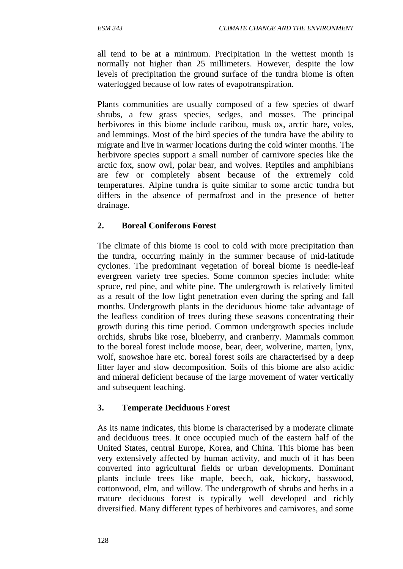all tend to be at a minimum. Precipitation in the wettest month is normally not higher than 25 millimeters. However, despite the low levels of precipitation the ground surface of the tundra biome is often waterlogged because of low rates of evapotranspiration.

Plants communities are usually composed of a few species of dwarf shrubs, a few grass species, sedges, and mosses. The principal herbivores in this biome include caribou, musk ox, arctic hare, voles, and lemmings. Most of the bird species of the tundra have the ability to migrate and live in warmer locations during the cold winter months. The herbivore species support a small number of carnivore species like the arctic fox, snow owl, polar bear, and wolves. Reptiles and amphibians are few or completely absent because of the extremely cold temperatures. Alpine tundra is quite similar to some arctic tundra but differs in the absence of permafrost and in the presence of better drainage.

### **2. Boreal Coniferous Forest**

The climate of this biome is cool to cold with more precipitation than the tundra, occurring mainly in the summer because of mid-latitude cyclones. The predominant vegetation of boreal biome is needle-leaf evergreen variety tree species. Some common species include: white spruce, red pine, and white pine. The undergrowth is relatively limited as a result of the low light penetration even during the spring and fall months. Undergrowth plants in the deciduous biome take advantage of the leafless condition of trees during these seasons concentrating their growth during this time period. Common undergrowth species include orchids, shrubs like rose, blueberry, and cranberry. Mammals common to the boreal forest include moose, bear, deer, wolverine, marten, lynx, wolf, snowshoe hare etc. boreal forest soils are characterised by a deep litter layer and slow decomposition. Soils of this biome are also acidic and mineral deficient because of the large movement of water vertically and subsequent leaching.

## **3. Temperate Deciduous Forest**

As its name indicates, this biome is characterised by a moderate climate and deciduous trees. It once occupied much of the eastern half of the United States, central Europe, Korea, and China. This biome has been very extensively affected by human activity, and much of it has been converted into agricultural fields or urban developments. Dominant plants include trees like maple, beech, oak, hickory, basswood, cottonwood, elm, and willow. The undergrowth of shrubs and herbs in a mature deciduous forest is typically well developed and richly diversified. Many different types of herbivores and carnivores, and some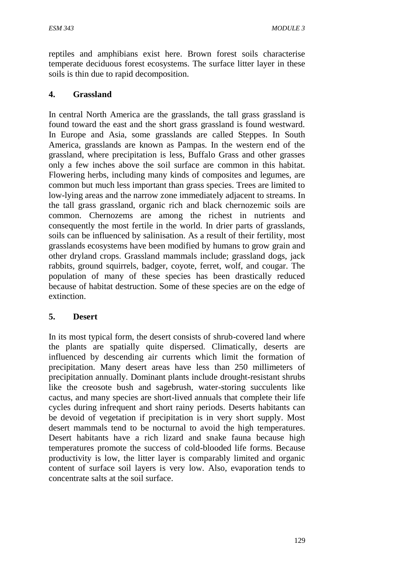reptiles and amphibians exist here. Brown forest soils characterise temperate deciduous forest ecosystems. The surface litter layer in these soils is thin due to rapid decomposition.

#### **4. Grassland**

In central North America are the grasslands, the tall grass grassland is found toward the east and the short grass grassland is found westward. In Europe and Asia, some grasslands are called Steppes. In South America, grasslands are known as Pampas. In the western end of the grassland, where precipitation is less, Buffalo Grass and other grasses only a few inches above the soil surface are common in this habitat. Flowering herbs, including many kinds of composites and legumes, are common but much less important than grass species. Trees are limited to low-lying areas and the narrow zone immediately adjacent to streams. In the tall grass grassland, organic rich and black chernozemic soils are common. Chernozems are among the richest in nutrients and consequently the most fertile in the world. In drier parts of grasslands, soils can be influenced by salinisation. As a result of their fertility, most grasslands ecosystems have been modified by humans to grow grain and other dryland crops. Grassland mammals include; grassland dogs, jack rabbits, ground squirrels, badger, coyote, ferret, wolf, and cougar. The population of many of these species has been drastically reduced because of habitat destruction. Some of these species are on the edge of extinction.

#### **5. Desert**

In its most typical form, the desert consists of shrub-covered land where the plants are spatially quite dispersed. Climatically, deserts are influenced by descending air currents which limit the formation of precipitation. Many desert areas have less than 250 millimeters of precipitation annually. Dominant plants include drought-resistant shrubs like the creosote bush and sagebrush, water-storing succulents like cactus, and many species are short-lived annuals that complete their life cycles during infrequent and short rainy periods. Deserts habitants can be devoid of vegetation if precipitation is in very short supply. Most desert mammals tend to be nocturnal to avoid the high temperatures. Desert habitants have a rich lizard and snake fauna because high temperatures promote the success of cold-blooded life forms. Because productivity is low, the litter layer is comparably limited and organic content of surface soil layers is very low. Also, evaporation tends to concentrate salts at the soil surface.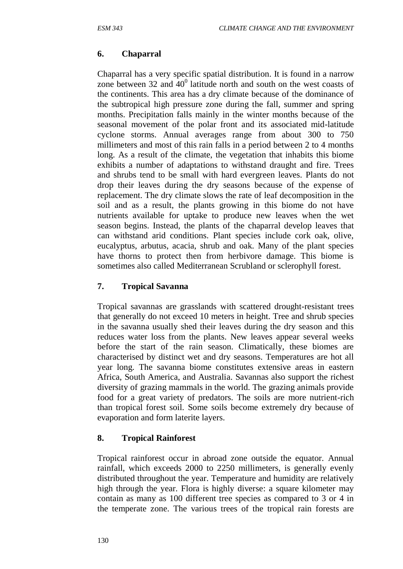## **6. Chaparral**

Chaparral has a very specific spatial distribution. It is found in a narrow zone between  $32$  and  $40^0$  latitude north and south on the west coasts of the continents. This area has a dry climate because of the dominance of the subtropical high pressure zone during the fall, summer and spring months. Precipitation falls mainly in the winter months because of the seasonal movement of the polar front and its associated mid-latitude cyclone storms. Annual averages range from about 300 to 750 millimeters and most of this rain falls in a period between 2 to 4 months long. As a result of the climate, the vegetation that inhabits this biome exhibits a number of adaptations to withstand draught and fire. Trees and shrubs tend to be small with hard evergreen leaves. Plants do not drop their leaves during the dry seasons because of the expense of replacement. The dry climate slows the rate of leaf decomposition in the soil and as a result, the plants growing in this biome do not have nutrients available for uptake to produce new leaves when the wet season begins. Instead, the plants of the chaparral develop leaves that can withstand arid conditions. Plant species include cork oak, olive, eucalyptus, arbutus, acacia, shrub and oak. Many of the plant species have thorns to protect then from herbivore damage. This biome is sometimes also called Mediterranean Scrubland or sclerophyll forest.

## **7. Tropical Savanna**

Tropical savannas are grasslands with scattered drought-resistant trees that generally do not exceed 10 meters in height. Tree and shrub species in the savanna usually shed their leaves during the dry season and this reduces water loss from the plants. New leaves appear several weeks before the start of the rain season. Climatically, these biomes are characterised by distinct wet and dry seasons. Temperatures are hot all year long. The savanna biome constitutes extensive areas in eastern Africa, South America, and Australia. Savannas also support the richest diversity of grazing mammals in the world. The grazing animals provide food for a great variety of predators. The soils are more nutrient-rich than tropical forest soil. Some soils become extremely dry because of evaporation and form laterite layers.

## **8. Tropical Rainforest**

Tropical rainforest occur in abroad zone outside the equator. Annual rainfall, which exceeds 2000 to 2250 millimeters, is generally evenly distributed throughout the year. Temperature and humidity are relatively high through the year. Flora is highly diverse: a square kilometer may contain as many as 100 different tree species as compared to 3 or 4 in the temperate zone. The various trees of the tropical rain forests are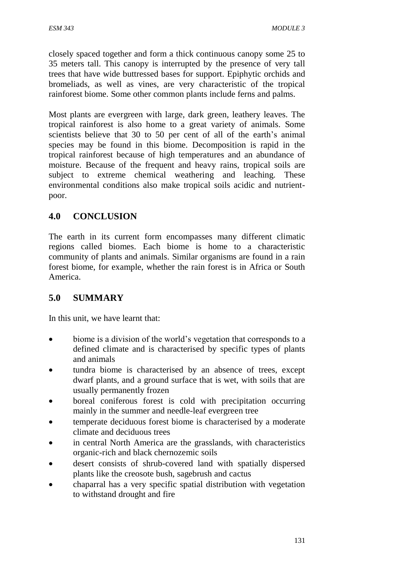closely spaced together and form a thick continuous canopy some 25 to 35 meters tall. This canopy is interrupted by the presence of very tall trees that have wide buttressed bases for support. Epiphytic orchids and bromeliads, as well as vines, are very characteristic of the tropical rainforest biome. Some other common plants include ferns and palms.

Most plants are evergreen with large, dark green, leathery leaves. The tropical rainforest is also home to a great variety of animals. Some scientists believe that 30 to 50 per cent of all of the earth's animal species may be found in this biome. Decomposition is rapid in the tropical rainforest because of high temperatures and an abundance of moisture. Because of the frequent and heavy rains, tropical soils are subject to extreme chemical weathering and leaching. These environmental conditions also make tropical soils acidic and nutrientpoor.

# **4.0 CONCLUSION**

The earth in its current form encompasses many different climatic regions called biomes. Each biome is home to a characteristic community of plants and animals. Similar organisms are found in a rain forest biome, for example, whether the rain forest is in Africa or South America.

# **5.0 SUMMARY**

In this unit, we have learnt that:

- biome is a division of the world's vegetation that corresponds to a defined climate and is characterised by specific types of plants and animals
- tundra biome is characterised by an absence of trees, except dwarf plants, and a ground surface that is wet, with soils that are usually permanently frozen
- boreal coniferous forest is cold with precipitation occurring mainly in the summer and needle-leaf evergreen tree
- temperate deciduous forest biome is characterised by a moderate climate and deciduous trees
- in central North America are the grasslands, with characteristics organic-rich and black chernozemic soils
- desert consists of shrub-covered land with spatially dispersed plants like the creosote bush, sagebrush and cactus
- chaparral has a very specific spatial distribution with vegetation to withstand drought and fire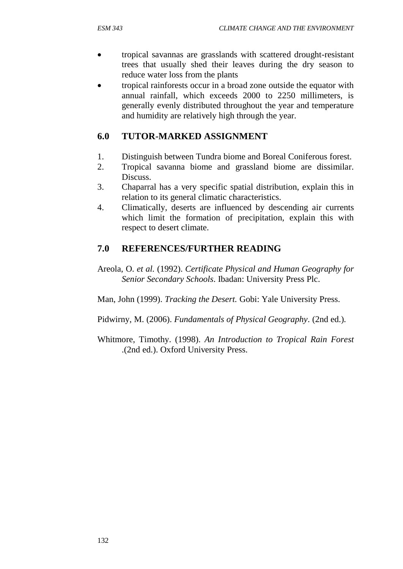- tropical savannas are grasslands with scattered drought-resistant trees that usually shed their leaves during the dry season to reduce water loss from the plants
- tropical rainforests occur in a broad zone outside the equator with annual rainfall, which exceeds 2000 to 2250 millimeters, is generally evenly distributed throughout the year and temperature and humidity are relatively high through the year.

## **6.0 TUTOR-MARKED ASSIGNMENT**

- 1. Distinguish between Tundra biome and Boreal Coniferous forest.
- 2. Tropical savanna biome and grassland biome are dissimilar. Discuss.
- 3. Chaparral has a very specific spatial distribution, explain this in relation to its general climatic characteristics.
- 4. Climatically, deserts are influenced by descending air currents which limit the formation of precipitation, explain this with respect to desert climate.

## **7.0 REFERENCES/FURTHER READING**

Areola, O. *et al.* (1992). *Certificate Physical and Human Geography for Senior Secondary Schools*. Ibadan: University Press Plc.

Man, John (1999). *Tracking the Desert.* Gobi: Yale University Press.

Pidwirny, M. (2006). *Fundamentals of Physical Geography*. (2nd ed.).

Whitmore, Timothy. (1998). *An Introduction to Tropical Rain Forest* .(2nd ed.). Oxford University Press.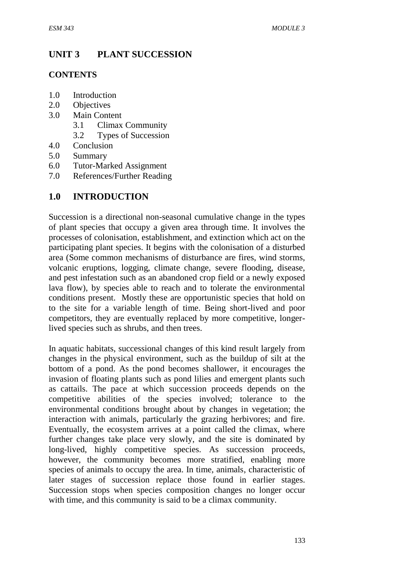# **UNIT 3 PLANT SUCCESSION**

### **CONTENTS**

- 1.0 Introduction
- 2.0 Objectives
- 3.0 Main Content
	- 3.1 Climax Community
	- 3.2 Types of Succession
- 4.0 Conclusion
- 5.0 Summary
- 6.0 Tutor-Marked Assignment
- 7.0 References/Further Reading

## **1.0 INTRODUCTION**

Succession is a directional non-seasonal cumulative change in the types of plant species that occupy a given area through time. It involves the processes of colonisation, establishment, and extinction which act on the participating plant species. It begins with the colonisation of a disturbed area (Some common mechanisms of disturbance are fires, wind storms, volcanic eruptions, logging, climate change, severe flooding, disease, and pest infestation such as an abandoned crop field or a newly exposed lava flow), by species able to reach and to tolerate the environmental conditions present. Mostly these are opportunistic species that hold on to the site for a variable length of time. Being short-lived and poor competitors, they are eventually replaced by more competitive, longerlived species such as shrubs, and then trees.

In aquatic habitats, successional changes of this kind result largely from changes in the physical environment, such as the buildup of silt at the bottom of a pond. As the pond becomes shallower, it encourages the invasion of floating plants such as pond lilies and emergent plants such as cattails. The pace at which succession proceeds depends on the competitive abilities of the species involved; tolerance to the environmental conditions brought about by changes in vegetation; the interaction with animals, particularly the grazing herbivores; and fire. Eventually, the ecosystem arrives at a point called the climax, where further changes take place very slowly, and the site is dominated by long-lived, highly competitive species. As succession proceeds, however, the community becomes more stratified, enabling more species of animals to occupy the area. In time, animals, characteristic of later stages of succession replace those found in earlier stages. Succession stops when species composition changes no longer occur with time, and this community is said to be a climax community.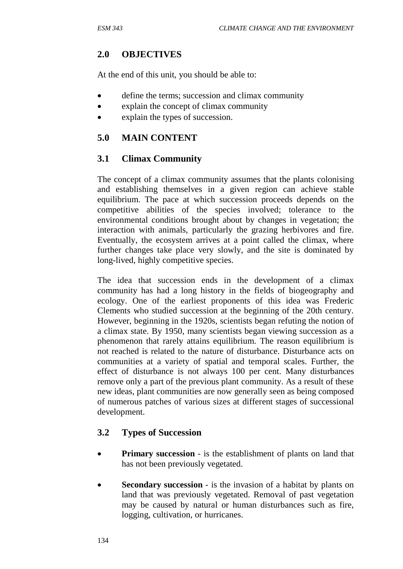# **2.0 OBJECTIVES**

At the end of this unit, you should be able to:

- define the terms; succession and climax community
- explain the concept of climax community
- explain the types of succession.

## **5.0 MAIN CONTENT**

## **3.1 Climax Community**

The concept of a climax community assumes that the plants colonising and establishing themselves in a given region can achieve stable equilibrium. The pace at which succession proceeds depends on the competitive abilities of the species involved; tolerance to the environmental conditions brought about by changes in vegetation; the interaction with animals, particularly the grazing herbivores and fire. Eventually, the ecosystem arrives at a point called the climax, where further changes take place very slowly, and the site is dominated by long-lived, highly competitive species.

The idea that succession ends in the development of a climax community has had a long history in the fields of biogeography and ecology. One of the earliest proponents of this idea was Frederic Clements who studied succession at the beginning of the 20th century. However, beginning in the 1920s, scientists began refuting the notion of a climax state. By 1950, many scientists began viewing succession as a phenomenon that rarely attains equilibrium. The reason equilibrium is not reached is related to the nature of disturbance. Disturbance acts on communities at a variety of spatial and temporal scales. Further, the effect of disturbance is not always 100 per cent. Many disturbances remove only a part of the previous plant community. As a result of these new ideas, plant communities are now generally seen as being composed of numerous patches of various sizes at different stages of successional development.

# **3.2 Types of Succession**

- **Primary succession** is the establishment of plants on land that has not been previously vegetated.
- **Secondary succession** is the invasion of a habitat by plants on land that was previously vegetated. Removal of past vegetation may be caused by natural or human disturbances such as fire, logging, cultivation, or hurricanes.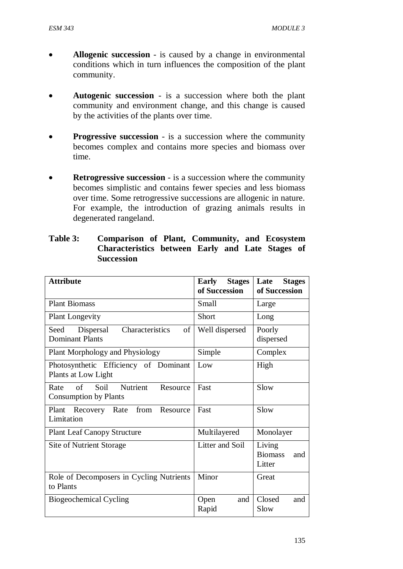- **Allogenic succession** is caused by a change in environmental conditions which in turn influences the composition of the plant community.
- **Autogenic succession** is a succession where both the plant community and environment change, and this change is caused by the activities of the plants over time.
- **Progressive succession** is a succession where the community becomes complex and contains more species and biomass over time.
- **Retrogressive succession** is a succession where the community becomes simplistic and contains fewer species and less biomass over time. Some retrogressive successions are allogenic in nature. For example, the introduction of grazing animals results in degenerated rangeland.

| <b>Attribute</b>                                                           | <b>Early</b><br><b>Stages</b><br>of Succession | Late<br><b>Stages</b><br>of Succession    |
|----------------------------------------------------------------------------|------------------------------------------------|-------------------------------------------|
| <b>Plant Biomass</b>                                                       | Small                                          | Large                                     |
| <b>Plant Longevity</b>                                                     | Short                                          | Long                                      |
| Characteristics<br>of<br>Seed<br>Dispersal<br><b>Dominant Plants</b>       | Well dispersed                                 | Poorly<br>dispersed                       |
| Plant Morphology and Physiology                                            | Simple                                         | Complex                                   |
| Photosynthetic Efficiency of Dominant<br>Plants at Low Light               | Low                                            | High                                      |
| Nutrient<br>of<br>Soil<br>Resource<br>Rate<br><b>Consumption by Plants</b> | Fast                                           | Slow                                      |
| from<br>Resource<br>Plant Recovery Rate<br>Limitation                      | Fast                                           | Slow                                      |
| <b>Plant Leaf Canopy Structure</b>                                         | Multilayered                                   | Monolayer                                 |
| Site of Nutrient Storage                                                   | Litter and Soil                                | Living<br><b>Biomass</b><br>and<br>Litter |
| Role of Decomposers in Cycling Nutrients<br>to Plants                      | Minor                                          | Great                                     |
| <b>Biogeochemical Cycling</b>                                              | Open<br>and<br>Rapid                           | Closed<br>and<br>Slow                     |

**Table 3: Comparison of Plant, Community, and Ecosystem Characteristics between Early and Late Stages of Succession**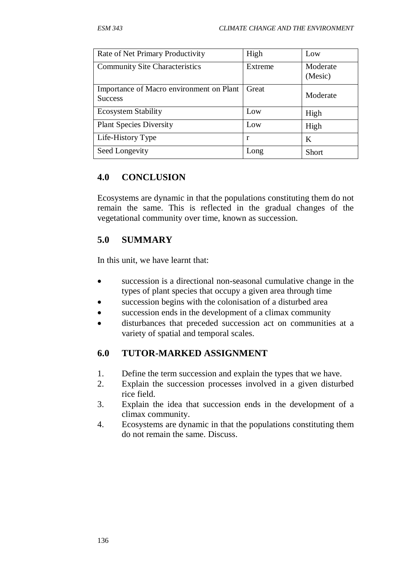| Rate of Net Primary Productivity                           | High    | Low                 |
|------------------------------------------------------------|---------|---------------------|
| <b>Community Site Characteristics</b>                      | Extreme | Moderate<br>(Mesic) |
| Importance of Macro environment on Plant<br><b>Success</b> | Great   | Moderate            |
| <b>Ecosystem Stability</b>                                 | Low     | High                |
| <b>Plant Species Diversity</b>                             | Low     | High                |
| Life-History Type                                          | r       | K                   |
| Seed Longevity                                             | Long    | Short               |

## **4.0 CONCLUSION**

Ecosystems are dynamic in that the populations constituting them do not remain the same. This is reflected in the gradual changes of the vegetational community over time, known as succession.

## **5.0 SUMMARY**

In this unit, we have learnt that:

- succession is a directional non-seasonal cumulative change in the types of plant species that occupy a given area through time
- succession begins with the colonisation of a disturbed area
- succession ends in the development of a climax community
- disturbances that preceded succession act on communities at a variety of spatial and temporal scales.

# **6.0 TUTOR-MARKED ASSIGNMENT**

- 1. Define the term succession and explain the types that we have.
- 2. Explain the succession processes involved in a given disturbed rice field.
- 3. Explain the idea that succession ends in the development of a climax community.
- 4. Ecosystems are dynamic in that the populations constituting them do not remain the same. Discuss.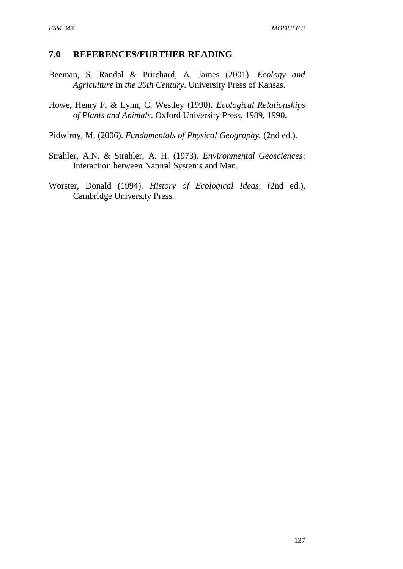#### **7.0 REFERENCES/FURTHER READING**

- Beeman, S. Randal & Pritchard, A. James (2001). *Ecology and Agriculture* in *the 20th Century*. University Press of Kansas.
- Howe, Henry F. & Lynn, C. Westley (1990). *Ecological Relationships of Plants and Animals*. Oxford University Press, 1989, 1990.
- Pidwirny, M. (2006). *Fundamentals of Physical Geography.* (2nd ed.).
- Strahler, A.N. & Strahler, A. H. (1973). *Environmental Geosciences*: Interaction between Natural Systems and Man.
- Worster, Donald (1994). *History of Ecological Ideas*. (2nd ed.). Cambridge University Press.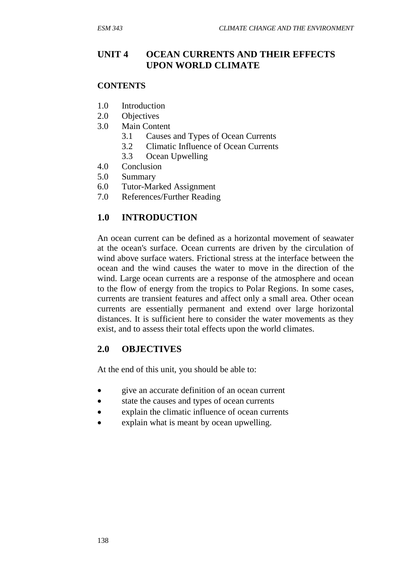## **UNIT 4 OCEAN CURRENTS AND THEIR EFFECTS UPON WORLD CLIMATE**

#### **CONTENTS**

- 1.0 Introduction
- 2.0 Objectives
- 3.0 Main Content
	- 3.1 Causes and Types of Ocean Currents
	- 3.2 Climatic Influence of Ocean Currents
	- 3.3 Ocean Upwelling
- 4.0 Conclusion
- 5.0 Summary
- 6.0 Tutor-Marked Assignment
- 7.0 References/Further Reading

# **1.0 INTRODUCTION**

An ocean current can be defined as a horizontal movement of seawater at the ocean's surface. Ocean currents are driven by the circulation of wind above surface waters. Frictional stress at the interface between the ocean and the wind causes the water to move in the direction of the wind. Large ocean currents are a response of the atmosphere and ocean to the flow of energy from the tropics to Polar Regions. In some cases, currents are transient features and affect only a small area. Other ocean currents are essentially permanent and extend over large horizontal distances. It is sufficient here to consider the water movements as they exist, and to assess their total effects upon the world climates.

## **2.0 OBJECTIVES**

At the end of this unit, you should be able to:

- give an accurate definition of an ocean current
- state the causes and types of ocean currents
- explain the climatic influence of ocean currents
- explain what is meant by ocean upwelling.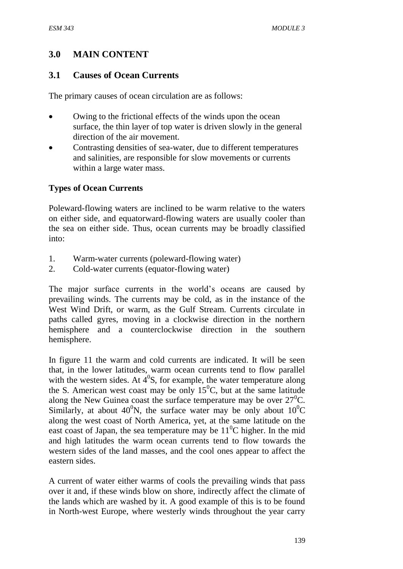## **3.0 MAIN CONTENT**

### **3.1 Causes of Ocean Currents**

The primary causes of ocean circulation are as follows:

- Owing to the frictional effects of the winds upon the ocean surface, the thin layer of top water is driven slowly in the general direction of the air movement.
- Contrasting densities of sea-water, due to different temperatures and salinities, are responsible for slow movements or currents within a large water mass.

### **Types of Ocean Currents**

Poleward-flowing waters are inclined to be warm relative to the waters on either side, and equatorward-flowing waters are usually cooler than the sea on either side. Thus, ocean currents may be broadly classified into:

- 1. Warm-water currents (poleward-flowing water)
- 2. Cold-water currents (equator-flowing water)

The major surface currents in the world's oceans are caused by prevailing winds. The currents may be cold, as in the instance of the West Wind Drift, or warm, as the Gulf Stream. Currents circulate in paths called gyres, moving in a clockwise direction in the northern hemisphere and a counterclockwise direction in the southern hemisphere.

In figure 11 the warm and cold currents are indicated. It will be seen that, in the lower latitudes, warm ocean currents tend to flow parallel with the western sides. At  $4^0$ S, for example, the water temperature along the S. American west coast may be only  $15^{\circ}$ C, but at the same latitude along the New Guinea coast the surface temperature may be over  $27^{\circ}$ C. Similarly, at about  $40^0$ N, the surface water may be only about  $10^0$ C along the west coast of North America, yet, at the same latitude on the east coast of Japan, the sea temperature may be  $11^{\circ}$ C higher. In the mid and high latitudes the warm ocean currents tend to flow towards the western sides of the land masses, and the cool ones appear to affect the eastern sides.

A current of water either warms of cools the prevailing winds that pass over it and, if these winds blow on shore, indirectly affect the climate of the lands which are washed by it. A good example of this is to be found in North-west Europe, where westerly winds throughout the year carry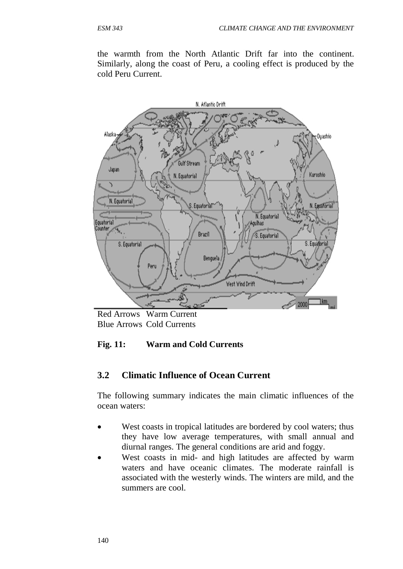the warmth from the North Atlantic Drift far into the continent. Similarly, along the coast of Peru, a cooling effect is produced by the cold Peru Current.



Red Arrows Warm Current Blue Arrows Cold Currents

## **Fig. 11: Warm and Cold Currents**

## **3.2 Climatic Influence of Ocean Current**

The following summary indicates the main climatic influences of the ocean waters:

- West coasts in tropical latitudes are bordered by cool waters; thus they have low average temperatures, with small annual and diurnal ranges. The general conditions are arid and foggy.
- West coasts in mid- and high latitudes are affected by warm waters and have oceanic climates. The moderate rainfall is associated with the westerly winds. The winters are mild, and the summers are cool.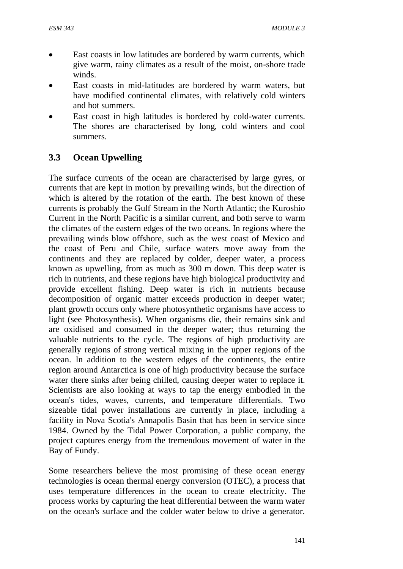- East coasts in low latitudes are bordered by warm currents, which give warm, rainy climates as a result of the moist, on-shore trade winds.
- East coasts in mid-latitudes are bordered by warm waters, but have modified continental climates, with relatively cold winters and hot summers.
- East coast in high latitudes is bordered by cold-water currents. The shores are characterised by long, cold winters and cool summers.

## **3.3 Ocean Upwelling**

The surface currents of the ocean are characterised by large gyres, or currents that are kept in motion by prevailing winds, but the direction of which is altered by the rotation of the earth. The best known of these currents is probably the Gulf Stream in the North Atlantic; the Kuroshio Current in the North Pacific is a similar current, and both serve to warm the climates of the eastern edges of the two oceans. In regions where the prevailing winds blow offshore, such as the west coast of Mexico and the coast of Peru and Chile, surface waters move away from the continents and they are replaced by colder, deeper water, a process known as upwelling, from as much as 300 m down. This deep water is rich in nutrients, and these regions have high biological productivity and provide excellent fishing. Deep water is rich in nutrients because decomposition of organic matter exceeds production in deeper water; plant growth occurs only where photosynthetic organisms have access to light (see Photosynthesis). When organisms die, their remains sink and are oxidised and consumed in the deeper water; thus returning the valuable nutrients to the cycle. The regions of high productivity are generally regions of strong vertical mixing in the upper regions of the ocean. In addition to the western edges of the continents, the entire region around Antarctica is one of high productivity because the surface water there sinks after being chilled, causing deeper water to replace it. Scientists are also looking at ways to tap the energy embodied in the ocean's tides, waves, currents, and temperature differentials. Two sizeable tidal power installations are currently in place, including a facility in Nova Scotia's Annapolis Basin that has been in service since 1984. Owned by the Tidal Power Corporation, a public company, the project captures energy from the tremendous movement of water in the Bay of Fundy.

Some researchers believe the most promising of these ocean energy technologies is ocean thermal energy conversion (OTEC), a process that uses temperature differences in the ocean to create electricity. The process works by capturing the heat differential between the warm water on the ocean's surface and the colder water below to drive a generator.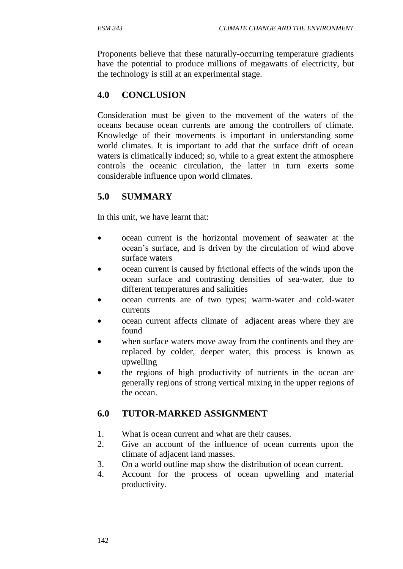Proponents believe that these naturally-occurring temperature gradients have the potential to produce millions of megawatts of electricity, but the technology is still at an experimental stage.

## **4.0 CONCLUSION**

Consideration must be given to the movement of the waters of the oceans because ocean currents are among the controllers of climate. Knowledge of their movements is important in understanding some world climates. It is important to add that the surface drift of ocean waters is climatically induced; so, while to a great extent the atmosphere controls the oceanic circulation, the latter in turn exerts some considerable influence upon world climates.

## **5.0 SUMMARY**

In this unit, we have learnt that:

- ocean current is the horizontal movement of seawater at the ocean's surface, and is driven by the circulation of wind above surface waters
- ocean current is caused by frictional effects of the winds upon the ocean surface and contrasting densities of sea-water, due to different temperatures and salinities
- ocean currents are of two types; warm-water and cold-water currents
- ocean current affects climate of adjacent areas where they are found
- when surface waters move away from the continents and they are replaced by colder, deeper water, this process is known as upwelling
- the regions of high productivity of nutrients in the ocean are generally regions of strong vertical mixing in the upper regions of the ocean.

# **6.0 TUTOR-MARKED ASSIGNMENT**

- 1. What is ocean current and what are their causes.
- 2. Give an account of the influence of ocean currents upon the climate of adjacent land masses.
- 3. On a world outline map show the distribution of ocean current.
- 4. Account for the process of ocean upwelling and material productivity.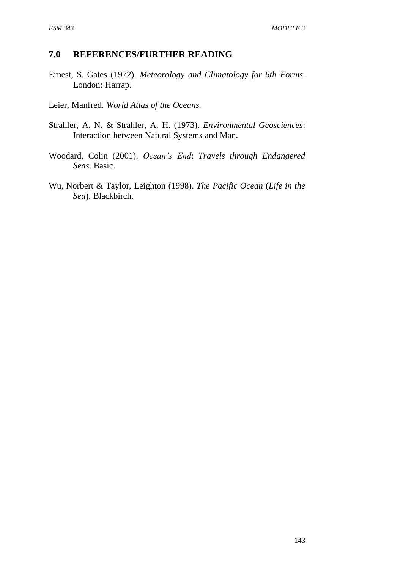#### **7.0 REFERENCES/FURTHER READING**

Ernest, S. Gates (1972). *Meteorology and Climatology for 6th Forms*. London: Harrap.

Leier, Manfred. *World Atlas of the Oceans.*

- Strahler, A. N. & Strahler, A. H. (1973). *Environmental Geosciences*: Interaction between Natural Systems and Man.
- Woodard, Colin (2001). *Ocean's End*: *Travels through Endangered Seas*. Basic.
- Wu, Norbert & Taylor, Leighton (1998). *The Pacific Ocean* (*Life in the Sea*). Blackbirch.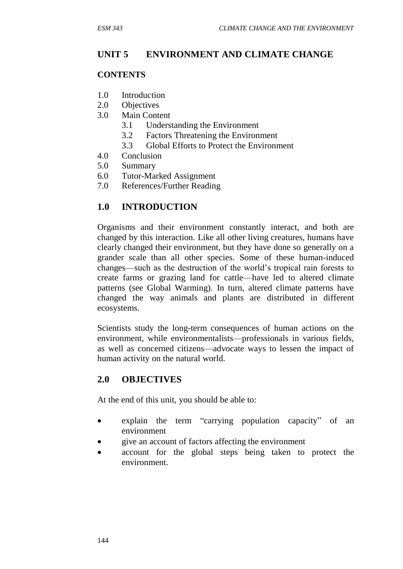## **UNIT 5 ENVIRONMENT AND CLIMATE CHANGE**

#### **CONTENTS**

- 1.0 Introduction
- 2.0 Objectives
- 3.0 Main Content
	- 3.1 Understanding the Environment
	- 3.2 Factors Threatening the Environment
	- 3.3 Global Efforts to Protect the Environment
- 4.0 Conclusion
- 5.0 Summary
- 6.0 Tutor-Marked Assignment
- 7.0 References/Further Reading

## **1.0 INTRODUCTION**

Organisms and their environment constantly interact, and both are changed by this interaction. Like all other living creatures, humans have clearly changed their environment, but they have done so generally on a grander scale than all other species. Some of these human-induced changes—such as the destruction of the world's tropical rain forests to create farms or grazing land for cattle—have led to altered climate patterns (see Global Warming). In turn, altered climate patterns have changed the way animals and plants are distributed in different ecosystems.

Scientists study the long-term consequences of human actions on the environment, while environmentalists—professionals in various fields, as well as concerned citizens—advocate ways to lessen the impact of human activity on the natural world.

## **2.0 OBJECTIVES**

At the end of this unit, you should be able to:

- explain the term "carrying population capacity" of an environment
- give an account of factors affecting the environment
- account for the global steps being taken to protect the environment.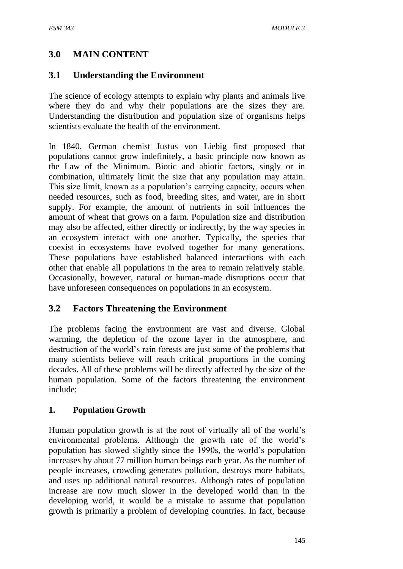## **3.0 MAIN CONTENT**

## **3.1 Understanding the Environment**

The science of ecology attempts to explain why plants and animals live where they do and why their populations are the sizes they are. Understanding the distribution and population size of organisms helps scientists evaluate the health of the environment.

In 1840, German chemist Justus von Liebig first proposed that populations cannot grow indefinitely, a basic principle now known as the Law of the Minimum. Biotic and abiotic factors, singly or in combination, ultimately limit the size that any population may attain. This size limit, known as a population's carrying capacity, occurs when needed resources, such as food, breeding sites, and water, are in short supply. For example, the amount of nutrients in soil influences the amount of wheat that grows on a farm. Population size and distribution may also be affected, either directly or indirectly, by the way species in an ecosystem interact with one another. Typically, the species that coexist in ecosystems have evolved together for many generations. These populations have established balanced interactions with each other that enable all populations in the area to remain relatively stable. Occasionally, however, natural or human-made disruptions occur that have unforeseen consequences on populations in an ecosystem.

## **3.2 Factors Threatening the Environment**

The problems facing the environment are vast and diverse. Global warming, the depletion of the ozone layer in the atmosphere, and destruction of the world's rain forests are just some of the problems that many scientists believe will reach critical proportions in the coming decades. All of these problems will be directly affected by the size of the human population. Some of the factors threatening the environment include:

#### **1. Population Growth**

Human population growth is at the root of virtually all of the world's environmental problems. Although the growth rate of the world's population has slowed slightly since the 1990s, the world's population increases by about 77 million human beings each year. As the number of people increases, crowding generates pollution, destroys more habitats, and uses up additional natural resources. Although rates of population increase are now much slower in the developed world than in the developing world, it would be a mistake to assume that population growth is primarily a problem of developing countries. In fact, because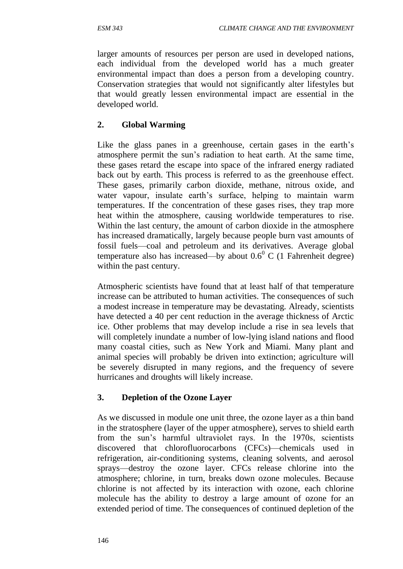larger amounts of resources per person are used in developed nations, each individual from the developed world has a much greater environmental impact than does a person from a developing country. Conservation strategies that would not significantly alter lifestyles but that would greatly lessen environmental impact are essential in the developed world.

## **2. Global Warming**

Like the glass panes in a greenhouse, certain gases in the earth's atmosphere permit the sun's radiation to heat earth. At the same time, these gases retard the escape into space of the infrared energy radiated back out by earth. This process is referred to as the greenhouse effect. These gases, primarily carbon dioxide, methane, nitrous oxide, and water vapour, insulate earth's surface, helping to maintain warm temperatures. If the concentration of these gases rises, they trap more heat within the atmosphere, causing worldwide temperatures to rise. Within the last century, the amount of carbon dioxide in the atmosphere has increased dramatically, largely because people burn vast amounts of fossil fuels—coal and petroleum and its derivatives. Average global temperature also has increased—by about  $0.6^{\circ}$  C (1 Fahrenheit degree) within the past century.

Atmospheric scientists have found that at least half of that temperature increase can be attributed to human activities. The consequences of such a modest increase in temperature may be devastating. Already, scientists have detected a 40 per cent reduction in the average thickness of Arctic ice. Other problems that may develop include a rise in sea levels that will completely inundate a number of low-lying island nations and flood many coastal cities, such as New York and Miami. Many plant and animal species will probably be driven into extinction; agriculture will be severely disrupted in many regions, and the frequency of severe hurricanes and droughts will likely increase.

## **3. Depletion of the Ozone Layer**

As we discussed in module one unit three, the ozone layer as a thin band in the stratosphere (layer of the upper atmosphere), serves to shield earth from the sun's harmful ultraviolet rays. In the 1970s, scientists discovered that chlorofluorocarbons (CFCs)—chemicals used in refrigeration, air-conditioning systems, cleaning solvents, and aerosol sprays—destroy the ozone layer. CFCs release chlorine into the atmosphere; chlorine, in turn, breaks down ozone molecules. Because chlorine is not affected by its interaction with ozone, each chlorine molecule has the ability to destroy a large amount of ozone for an extended period of time. The consequences of continued depletion of the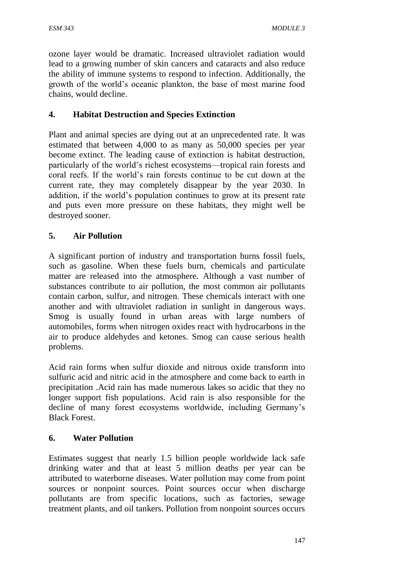ozone layer would be dramatic. Increased ultraviolet radiation would lead to a growing number of skin cancers and cataracts and also reduce the ability of immune systems to respond to infection. Additionally, the growth of the world's oceanic plankton, the base of most marine food chains, would decline.

### **4. Habitat Destruction and Species Extinction**

Plant and animal species are dying out at an unprecedented rate. It was estimated that between 4,000 to as many as 50,000 species per year become extinct. The leading cause of extinction is habitat destruction, particularly of the world's richest ecosystems—tropical rain forests and coral reefs. If the world's rain forests continue to be cut down at the current rate, they may completely disappear by the year 2030. In addition, if the world's population continues to grow at its present rate and puts even more pressure on these habitats, they might well be destroyed sooner.

### **5. Air Pollution**

A significant portion of industry and transportation burns fossil fuels, such as gasoline. When these fuels burn, chemicals and particulate matter are released into the atmosphere. Although a vast number of substances contribute to air pollution, the most common air pollutants contain carbon, sulfur, and nitrogen. These chemicals interact with one another and with ultraviolet radiation in sunlight in dangerous ways. Smog is usually found in urban areas with large numbers of automobiles, forms when nitrogen oxides react with hydrocarbons in the air to produce aldehydes and ketones. Smog can cause serious health problems.

Acid rain forms when sulfur dioxide and nitrous oxide transform into sulfuric acid and nitric acid in the atmosphere and come back to earth in precipitation .Acid rain has made numerous lakes so acidic that they no longer support fish populations. Acid rain is also responsible for the decline of many forest ecosystems worldwide, including Germany's Black Forest.

#### **6. Water Pollution**

Estimates suggest that nearly 1.5 billion people worldwide lack safe drinking water and that at least 5 million deaths per year can be attributed to waterborne diseases. Water pollution may come from point sources or nonpoint sources. Point sources occur when discharge pollutants are from specific locations, such as factories, sewage treatment plants, and oil tankers. Pollution from nonpoint sources occurs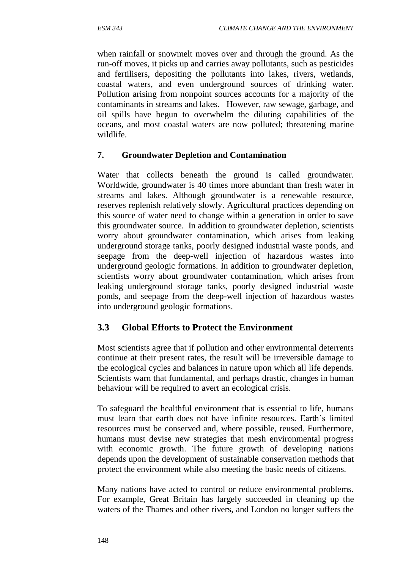when rainfall or snowmelt moves over and through the ground. As the run-off moves, it picks up and carries away pollutants, such as pesticides and fertilisers, depositing the pollutants into lakes, rivers, wetlands, coastal waters, and even underground sources of drinking water. Pollution arising from nonpoint sources accounts for a majority of the contaminants in streams and lakes. However, raw sewage, garbage, and oil spills have begun to overwhelm the diluting capabilities of the oceans, and most coastal waters are now polluted; threatening marine wildlife.

### **7. Groundwater Depletion and Contamination**

Water that collects beneath the ground is called groundwater. Worldwide, groundwater is 40 times more abundant than fresh water in streams and lakes. Although groundwater is a renewable resource, reserves replenish relatively slowly. Agricultural practices depending on this source of water need to change within a generation in order to save this groundwater source. In addition to groundwater depletion, scientists worry about groundwater contamination, which arises from leaking underground storage tanks, poorly designed industrial waste ponds, and seepage from the deep-well injection of hazardous wastes into underground geologic formations. In addition to groundwater depletion, scientists worry about groundwater contamination, which arises from leaking underground storage tanks, poorly designed industrial waste ponds, and seepage from the deep-well injection of hazardous wastes into underground geologic formations.

## **3.3 Global Efforts to Protect the Environment**

Most scientists agree that if pollution and other environmental deterrents continue at their present rates, the result will be irreversible damage to the ecological cycles and balances in nature upon which all life depends. Scientists warn that fundamental, and perhaps drastic, changes in human behaviour will be required to avert an ecological crisis.

To safeguard the healthful environment that is essential to life, humans must learn that earth does not have infinite resources. Earth's limited resources must be conserved and, where possible, reused. Furthermore, humans must devise new strategies that mesh environmental progress with economic growth. The future growth of developing nations depends upon the development of sustainable conservation methods that protect the environment while also meeting the basic needs of citizens.

Many nations have acted to control or reduce environmental problems. For example, Great Britain has largely succeeded in cleaning up the waters of the Thames and other rivers, and London no longer suffers the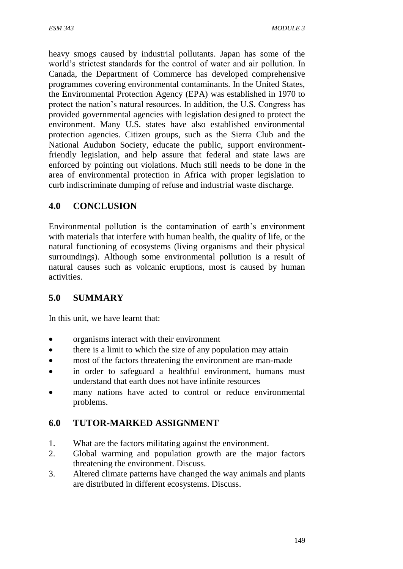heavy smogs caused by industrial pollutants. Japan has some of the world's strictest standards for the control of water and air pollution. In Canada, the Department of Commerce has developed comprehensive programmes covering environmental contaminants. In the United States, the Environmental Protection Agency (EPA) was established in 1970 to protect the nation's natural resources. In addition, the U.S. Congress has provided governmental agencies with legislation designed to protect the environment. Many U.S. states have also established environmental protection agencies. Citizen groups, such as the Sierra Club and the National Audubon Society, educate the public, support environmentfriendly legislation, and help assure that federal and state laws are enforced by pointing out violations. Much still needs to be done in the area of environmental protection in Africa with proper legislation to curb indiscriminate dumping of refuse and industrial waste discharge.

# **4.0 CONCLUSION**

Environmental pollution is the contamination of earth's environment with materials that interfere with human health, the quality of life, or the natural functioning of ecosystems (living organisms and their physical surroundings). Although some environmental pollution is a result of natural causes such as volcanic eruptions, most is caused by human activities.

# **5.0 SUMMARY**

In this unit, we have learnt that:

- organisms interact with their environment
- there is a limit to which the size of any population may attain
- most of the factors threatening the environment are man-made
- in order to safeguard a healthful environment, humans must understand that earth does not have infinite resources
- many nations have acted to control or reduce environmental problems.

# **6.0 TUTOR-MARKED ASSIGNMENT**

- 1. What are the factors militating against the environment.
- 2. Global warming and population growth are the major factors threatening the environment. Discuss.
- 3. Altered climate patterns have changed the way animals and plants are distributed in different ecosystems. Discuss.